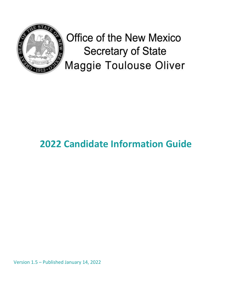

**Office of the New Mexico Secretary of State Maggie Toulouse Oliver** 

# **2022 Candidate Information Guide**

Version 1.5 – Published January 14, 2022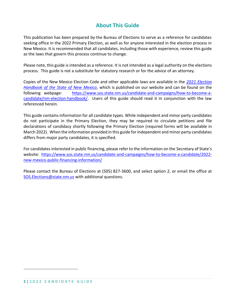## **About This Guide**

<span id="page-1-0"></span>This publication has been prepared by the Bureau of Elections to serve as a reference for candidates seeking office in the 2022 Primary Election, as well as for anyone interested in the election process in New Mexico. It is recommended that all candidates, including those with experience, review this guide as the laws that govern this process continue to change.

Please note, this guide is intended as a reference. It is not intended as a legal authority on the elections process. This guide is not a substitute for statutory research or for the advice of an attorney.

Copies of the New Mexico Election Code and other applicable laws are available in the *2021 [Election](https://www.sos.state.nm.us/wp-content/uploads/2021/10/NM-Election-Handbook-SOS.pdf) [Handbook](https://www.sos.state.nm.us/wp-content/uploads/2021/10/NM-Election-Handbook-SOS.pdf) of the State of New Mexico*, which is published on our website and can be found on the following webpage: [https://www.sos.state.nm.us/candidate-and-campaigns/how-to-become-a](https://www.sos.state.nm.us/candidate-and-campaigns/how-to-become-a-candidate/nm-election-handbook/)[candidate/nm-election-handbook/.](https://www.sos.state.nm.us/candidate-and-campaigns/how-to-become-a-candidate/nm-election-handbook/) Users of this guide should read it in conjunction with the law referenced herein.

This guide contains information for all candidate types. While independent and minor party candidates do not participate in the Primary Election, they may be required to circulate petitions and file declarations of candidacy shortly following the Primary Election (required forms will be available in March 2022). When the information provided in this guide for independent and minor party candidates differs from major party candidates, it is specified.

For candidates interested in public financing, please refer to the information on the Secretary of State's website: [https://www.sos.state.nm.us/candidate-and-campaigns/how-to-become-a-candidate/2022](https://www.sos.state.nm.us/candidate-and-campaigns/how-to-become-a-candidate/2022-new-mexico-public-financing-information/) [new-mexico-public-financing-information/](https://www.sos.state.nm.us/candidate-and-campaigns/how-to-become-a-candidate/2022-new-mexico-public-financing-information/)

Please contact the Bureau of Elections at (505) 827-3600, and select option 2, or email the office at [SOS.Elections@state.nm.us](mailto:SOS.Elections@state.nm.us) with additional questions.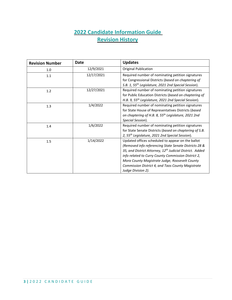## **2022 Candidate Information Guide Revision History**

<span id="page-2-1"></span><span id="page-2-0"></span>

| <b>Revision Number</b> | Date       | <b>Updates</b>                                                                                                                                                                                                                                                                                                                                                         |
|------------------------|------------|------------------------------------------------------------------------------------------------------------------------------------------------------------------------------------------------------------------------------------------------------------------------------------------------------------------------------------------------------------------------|
| 1.0                    | 12/9/2021  | <b>Original Publication</b>                                                                                                                                                                                                                                                                                                                                            |
| 1.1                    | 12/17/2021 | Required number of nominating petition signatures<br>for Congressional Districts (based on chaptering of<br>S.B. 1, 55 <sup>th</sup> Legislature, 2021 2nd Special Session).                                                                                                                                                                                           |
| 1.2                    | 12/27/2021 | Required number of nominating petition signatures<br>for Public Education Districts (based on chaptering of<br>H.B. 9, 55 <sup>th</sup> Legislature, 2021 2nd Special Session).                                                                                                                                                                                        |
| 1.3                    | 1/4/2022   | Required number of nominating petition signatures<br>for State House of Representatives Districts (based<br>on chaptering of H.B. 8, 55 <sup>th</sup> Legislature, 2021 2nd<br>Special Session).                                                                                                                                                                       |
| 1.4                    | 1/6/2022   | Required number of nominating petition signatures<br>for State Senate Districts (based on chaptering of S.B.<br>2, 55 <sup>th</sup> Legislature, 2021 2nd Special Session).                                                                                                                                                                                            |
| 1.5                    | 1/14/2022  | Updated offices scheduled to appear on the ballot<br>(Removed info referencing State Senate Districts 28 &<br>35, and District Attorney, 12 <sup>th</sup> Judicial District. Added<br>info related to Curry County Commission District 2,<br>Mora County Magistrate Judge, Roosevelt County<br>Commission District 4, and Taos County Magistrate<br>Judge Division 2). |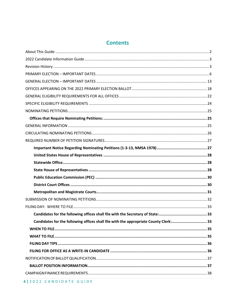## **Contents**

| Candidates for the following offices shall file with the appropriate County Clerk:33 |
|--------------------------------------------------------------------------------------|
|                                                                                      |
|                                                                                      |
|                                                                                      |
|                                                                                      |
|                                                                                      |
|                                                                                      |
|                                                                                      |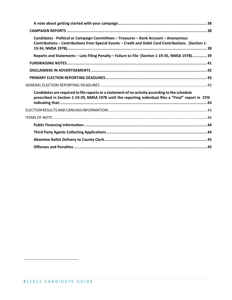| Candidates - Political or Campaign Committees - Treasurer - Bank Account - Anonymous<br>Contributions - Contributions from Special Events - Credit and Debit Card Contributions (Section 1-               |
|-----------------------------------------------------------------------------------------------------------------------------------------------------------------------------------------------------------|
| Reports and Statements - Late Filing Penalty - Failure to File (Section 1-19-35, NMSA 1978) 39                                                                                                            |
|                                                                                                                                                                                                           |
|                                                                                                                                                                                                           |
|                                                                                                                                                                                                           |
|                                                                                                                                                                                                           |
| Candidates are required to file reports or a statement of no activity according to the schedule<br>prescribed in Section 1-19-29, NMSA 1978 until the reporting individual files a "Final" report in CFIS |
|                                                                                                                                                                                                           |
|                                                                                                                                                                                                           |
|                                                                                                                                                                                                           |
|                                                                                                                                                                                                           |
|                                                                                                                                                                                                           |
|                                                                                                                                                                                                           |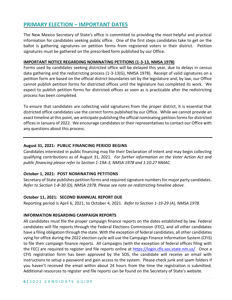## <span id="page-5-0"></span>**PRIMARY ELECTION – IMPORTANT DATES**

The New Mexico Secretary of State's office is committed to providing the most helpful and practical information for candidates seeking public office. One of the first steps candidates take to get on the ballot is gathering signatures on petition forms from registered voters in their district. Petition signatures must be gathered on the prescribed form published by our Office.

### **IMPORTANT NOTICE REGARDING NOMINATING PETITIONS (1-3-13, NMSA 1978)**

Forms used by candidates seeking districted office will be delayed this year, due to delays in census data gathering and the redistricting process (1-3-13(G), NMSA 1978). Receipt of valid signatures on a petition form are based on the official district boundaries set by the legislature and, by law, our Office cannot publish petition forms for districted offices until the legislature has completed its work. We expect to publish petition forms for districted offices as soon as is practicable after the redistricting process has been completed.

To ensure that candidates are collecting valid signatures from the proper district, it is essential that districted office candidates use the correct forms published by our Office. While we cannot provide an exact timeline at this point, we anticipate publishing the official nominating petition forms for districted offices in January of 2022. We encourage candidates or their representatives to contact our Office with any questions about this process.

## **August 31, 2021: PUBLIC FINANCING PERIOD BEGINS**

Candidates interested in public financing may file their Declaration of Intent and may begin collecting qualifying contributions as of August 31, 2021. *For further information on the Voter Action Act and public financing please refer to Section 1-19A-3, NMSA 1978 and 1.10.27 NMAC.*

## **October 1, 2021: POST NOMINATING PETITIONS**

Secretary of State publishes petition forms and required signature numbers for major party candidates. *Refer to Section 1-8-30 (D), NMSA 1978. Please see note on redistricting timeline above.*

## **October 11, 2021: SECOND BIANNUAL REPORT DUE**

Reporting period is April 6, 2021, to October 4, 2021. *Refer to Section 1-19-29 (A), NMSA 1978.*

### **INFORMATION REGARDING CAMPAIGN REPORTS**

All candidates must file the proper campaign finance reports on the dates established by law. Federal candidates will file reports through the Federal Elections Commission (FEC), and all other candidates have a filing obligation through the state. With the exception of federal candidates, all other candidates vying for office during the 2022 election cycle will use the Campaign Finance Information System (CFIS) to file their campaign finance reports. All campaigns (with the exception of federal offices filing with the FEC) are required to register and file reports online at [https://login.cfis.sos.state.nm.us/.](https://login.cfis.sos.state.nm.us/) Once a CFIS registration form has been approved by the SOS, the candidate will receive an email with instructions to setup a password and gain access to the system. Please check junk and spam folders if you haven't received the email within about 24 hours from the time the registration is submitted. Additional resources to register and file reports can be found on the Secretary of State's website.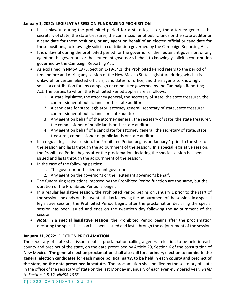## **January 1, 2022: LEGISLATIVE SESSION FUNDRAISING PROHIBITION**

- It is unlawful during the prohibited period for a state legislator, the attorney general, the secretary of state, the state treasurer, the commissioner of public lands or the state auditor or a candidate for these positions, or any agent on behalf of an elected official or candidate for these positions, to knowingly solicit a contribution governed by the Campaign Reporting Act.
- It is unlawful during the prohibited period for the governor or the lieutenant governor, or any agent on the governor's or the lieutenant governor's behalf, to knowingly solicit a contribution governed by the Campaign Reporting Act.
- As explained in NMSA 1978, Section 1-19-34.1, the Prohibited Period refers to the period of time before and during any session of the New Mexico State Legislature during which it is unlawful for certain elected officials, candidates for office, and their agents to knowingly solicit a contribution for any campaign or committee governed by the Campaign Reporting Act. The parties to whom the Prohibited Period applies are as follows:
	- 1. A state legislator, the attorney general, the secretary of state, the state treasurer, the commissioner of public lands or the state auditor.
	- 2. A candidate for state legislator, attorney general, secretary of state, state treasurer, commissioner of public lands or state auditor.
	- 3. Any agent on behalf of the attorney general, the secretary of state, the state treasurer, the commissioner of public lands or the state auditor.
	- 4. Any agent on behalf of a candidate for attorney general, the secretary of state, state treasurer, commissioner of public lands or state auditor.
- In a regular legislative session, the Prohibited Period begins on January 1 prior to the start of the session and lasts through the adjournment of the session. In a special legislative session, the Prohibited Period begins after the proclamation declaring the special session has been issued and lasts through the adjournment of the session.
- In the case of the following parties:
	- 1. The governor or the lieutenant governor.
	- 2. Any agent on the governor's or the lieutenant governor's behalf.
- The fundraising restrictions imposed by the Prohibited Period function are the same, but the duration of the Prohibited Period is longer.
- In a regular legislative session, the Prohibited Period begins on January 1 prior to the start of the session and ends on the twentieth day following the adjournment of the session. In a special legislative session, the Prohibited Period begins after the proclamation declaring the special session has been issued and ends on the twentieth day following the adjournment of the session.
- *Note:* In a **special legislative session**, the Prohibited Period begins after the proclamation declaring the special session has been issued and lasts through the adjournment of the session.

## **January 31, 2022: ELECTION PROCLAMATION**

The secretary of state shall issue a public proclamation calling a general election to be held in each county and precinct of the state, on the date prescribed by Article 20, Section 6 of the constitution of New Mexico. **The general election proclamation shall also call for a primary election to nominate the general election candidates for each major political party, to be held in each county and precinct of the state, on the date prescribed in statute.** The proclamation shall be filed by the secretary of state in the office of the secretary of state on the last Monday in January of each even-numbered year. *Refer to Section 1-8-12, NMSA 1978.*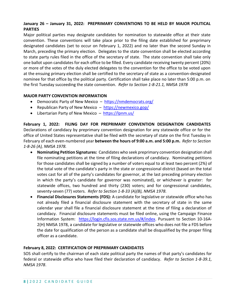## **January 26 – January 31, 2022: PREPRIMARY CONVENTIONS TO BE HELD BY MAJOR POLITICAL PARTIES**

Major political parties may designate candidates for nomination to statewide office at their state convention. These conventions will take place prior to the filing date established for preprimary designated candidates (set to occur on February 1, 2022) and no later than the second Sunday in March, preceding the primary election. Delegates to the state convention shall be elected according to state party rules filed in the office of the secretary of state. The state convention shall take only one ballot upon candidates for each office to be filled. Every candidate receiving twenty percent (20%) or more of the votes of the duly elected delegates to the convention for the office to be voted upon at the ensuing primary election shall be certified to the secretary of state as a convention-designated nominee for that office by the political party. Certification shall take place no later than 5:00 p.m. on the first Tuesday succeeding the state convention. *Refer to Section 1-8-21.1, NMSA 1978*

### **MAJOR PARTY CONVENTION INFORMATION**

- Democratic Party of New Mexico <https://nmdemocrats.org/>
- Republican Party of New Mexico <https://newmexico.gop/>
- Libertarian Party of New Mexico <https://lpnm.us/>

**February 1, 2022: FILING DAY FOR PREPRIMARY CONVENTION DESIGNATION CANDIDATES** Declarations of candidacy by preprimary convention designation for any statewide office or for the office of United States representative shall be filed with the secretary of state on the first Tuesday in February of each even-numbered year **between the hours of 9:00 a.m. and 5:00 p.m.** *Refer to Section 1-8-26 (A), NMSA 1978.*

- **Nominating Petition Signatures:** Candidates who seek preprimary convention designation shall file nominating petitions at the time of filing declarations of candidacy. Nominating petitions for those candidates shall be signed by a number of voters equal to at least two percent (2%) of the total vote of the candidate's party in the state or congressional district (based on the total votes cast for all of the party's candidates for governor, at the last preceding primary election in which the party's candidate for governor was nominated), or whichever is greater: for statewide offices, two hundred and thirty (230) voters; and for congressional candidates, seventy-seven (77) voters. *Refer to Section 1-8-33 (A)(B), NMSA 1978.*
- **Financial Disclosures Statements (FDS):** A candidate for legislative or statewide office who has not already filed a financial disclosure statement with the secretary of state in the same calendar year shall file a financial disclosure statement at the time of filing a declaration of candidacy. Financial disclosure statements must be filed online, using the Campaign Finance Information System: [https://login.cfis.sos.state.nm.us/#/index.](https://login.cfis.sos.state.nm.us/#/index) Pursuant to Section 10-16A-2(H) NMSA 1978, a candidate for legislative or statewide offices who does not file a FDS before the date for qualification of the person as a candidate shall be disqualified by the proper filing officer as a candidate.

### **February 8, 2022: CERTIFICATION OF PREPRIMARY CANDIDATES**

SOS shall certify to the chairman of each state political party the names of that party's candidates for federal or statewide office who have filed their declaration of candidacy. *Refer to Section 1-8-39.1, NMSA 1978*.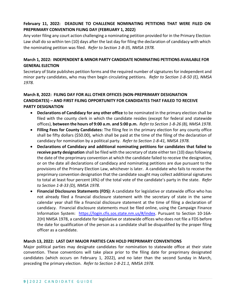## **February 11, 2022: DEADLINE TO CHALLENGE NOMINATING PETITIONS THAT WERE FILED ON PREPRIMARY CONVENTION FILING DAY (FEBRUARY 1, 2022)**

Any voter filing any court action challenging a nominating petition provided for in the Primary Election Law shall do so within ten (10) days after the last day for filing the declaration of candidacy with which the nominating petition was filed. *Refer to Section 1-8-35, NMSA 1978.*

## **March 1, 2022: INDEPENDENT & MINOR PARTY CANDIDATE NOMINATING PETITIONS AVAILABLE FOR GENERAL ELECTION**

Secretary of State publishes petition forms and the required number of signatures for independent and minor party candidates, who may then begin circulating petitions. *Refer to Section 1-8-50 (E), NMSA 1978.*

## **March 8, 2022: FILING DAY FOR ALL OTHER OFFICES (NON-PREPRIMARY DESIGNATION CANDIDATES) – AND FIRST FILING OPPORTUNITY FOR CANDIDATES THAT FAILED TO RECEIVE PARTY DESIGNATION**

- **Declarations of Candidacy for any other office** to be nominated in the primary election shall be filed with the county clerk in which the candidate resides (except for federal and statewide offices), **between the hours of 9:00 a.m. and 5:00 p.m.** *Refer to Section 1-8-26 (B), NMSA 1978.*
- **Filling Fees for County Candidates:** The filing fee in the primary election for any county office shall be fifty dollars (\$50.00), which shall be paid at the time of the filing of the declaration of candidacy for nomination by a political party. *Refer to Section 1-8-41, NMSA 1978.*
- **Declarations of Candidacy and additional nominating petitions for candidates that failed to receive party designation** shall be filed with the secretary of state either ten (10) days following the date of the preprimary convention at which the candidate failed to receive the designation, or on the date all declarations of candidacy and nominating petitions are due pursuant to the provisions of the Primary Election Law, whichever is later. A candidate who fails to receive the preprimary convention designation that the candidate sought may collect additional signatures to total at least four percent (4%) of the total vote of the candidate's party in the state. *Refer to Section 1-8-33 (D), NMSA 1978.*
- **Financial Disclosures Statements (FDS):** A candidate for legislative or statewide office who has not already filed a financial disclosure statement with the secretary of state in the same calendar year shall file a financial disclosure statement at the time of filing a declaration of candidacy. Financial disclosure statements must be filed online, using the Campaign Finance Information System: [https://login.cfis.sos.state.nm.us/#/index.](https://login.cfis.sos.state.nm.us/#/index) Pursuant to Section 10-16A-2(H) NMSA 1978, a candidate for legislative or statewide offices who does not file a FDS before the date for qualification of the person as a candidate shall be disqualified by the proper filing officer as a candidate.

## **March 13, 2022: LAST DAY MAJOR PARTIES CAN HOLD PREPRIMARY CONVENTIONS**

Major political parties may designate candidates for nomination to statewide office at their state convention. These conventions will take place prior to the filing date for preprimary designated candidates (which occurs on February 1, 2022), and no later than the second Sunday in March, preceding the primary election. *Refer to Section 1-8-21.1, NMSA 1978.*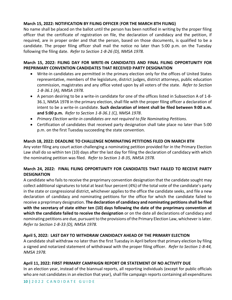## **March 15, 2022: NOTIFICATION BY FILING OFFICER** (**FOR THE MARCH 8TH FILING)**

No name shall be placed on the ballot until the person has been notified in writing by the proper filing officer that the certificate of registration on file, the declaration of candidacy and the petition, if required, are in proper order and that the person, based on those documents, is qualified to be a candidate. The proper filing officer shall mail the notice no later than 5:00 p.m. on the Tuesday following the filing date. *Refer to Section 1-8-26 (D), NMSA 1978.*

## **March 15, 2022: FILING DAY FOR WRITE-IN CANDIDATES AND FINAL FILING OPPORTUNITY FOR PREPRIMARY CONVENTION CANDIDATES THAT RECEIVED PARTY DESIGNATION**

- Write-in candidates are permitted in the primary election only for the offices of United States representative, members of the legislature, district judges, district attorneys, public education commission, magistrates and any office voted upon by all voters of the state. *Refer to Section 1-8-36.1 (A), NMSA 1978.*
- A person desiring to be a write-in candidate for one of the offices listed in Subsection A of 1-8- 36.1, NMSA 1978 in the primary election, shall file with the proper filing officer a declaration of intent to be a write-in candidate. **Such declaration of intent shall be filed between 9:00 a.m. and 5:00 p.m.** *Refer to Section 1-8-36.1 (C), NMSA 1978*.
- *Primary Election write-in candidates are not required to file Nominating Petitions.*
- Certification of candidates that received party designation shall take place no later than 5:00 p.m. on the first Tuesday succeeding the state convention.

## **March 18, 2022: DEADLINE TO CHALLENGE NOMINATING PETITIONS FILED ON MARCH 8TH**

Any voter filing any court action challenging a nominating petition provided for in the Primary Election Law shall do so within ten (10) days after the last day for filing the declaration of candidacy with which the nominating petition was filed. *Refer to Section 1-8-35, NMSA 1978.*

## **March 24, 2022: FINAL FILING OPPORTUNITY FOR CANDIDATES THAT FAILED TO RECEIVE PARTY DESIGNATION**

A candidate who fails to receive the preprimary convention designation that the candidate sought may collect additional signatures to total at least four percent (4%) of the total vote of the candidate's party in the state or congressional district, whichever applies to the office the candidate seeks, and file a new declaration of candidacy and nominating petitions for the office for which the candidate failed to receive a preprimary designation. **The declaration of candidacy and nominating petitions shall be filed with the secretary of state either ten (10) days following the date of the preprimary convention at which the candidate failed to receive the designation** or on the date all declarations of candidacy and nominating petitions are due, pursuant to the provisions of the Primary Election Law, whichever is later. *Refer to Section 1-8-33 (D), NMSA 1978.*

## **April 5, 2022: LAST DAY TO WITHDRAW CANDIDACY AHEAD OF THE PRIMARY ELECTION**

A candidate shall withdraw no later than the first Tuesday in April before that primary election by filing a signed and notarized statement of withdrawal with the proper filing officer. *Refer to Section 1-8-44, NMSA 1978.*

## **April 11, 2022: FIRST PRIMARY CAMPAIGN REPORT OR STATEMENT OF NO ACTIVITY DUE**

In an election year, instead of the biannual reports, all reporting individuals (except for public officials who are not candidates in an election that year), shall file campaign reports containing all expenditures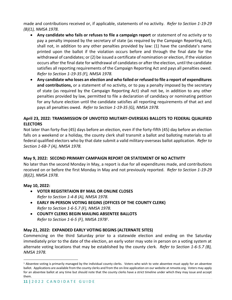made and contributions received or, if applicable, statements of no activity. *Refer to Section 1-19-29 (B)(1), NMSA 1978.* 

- **Any candidate who fails or refuses to file a campaign report** or statement of no activity or to pay a penalty imposed by the secretary of state (as required by the Campaign Reporting Act), shall not, in addition to any other penalties provided by law: (1) have the candidate's name printed upon the ballot if the violation occurs before and through the final date for the withdrawal of candidates; or (2) be issued a certificate of nomination or election, if the violation occurs after the final date for withdrawal of candidates or after the election, until the candidate satisfies all reporting requirements of the Campaign Reporting Act and pays all penalties owed. *Refer to Section 1-19-35 (F), NMSA 1978.*
- **Any candidate who loses an election and who failed or refused to file a report of expenditures and contributions,** or a statement of no activity, or to pay a penalty imposed by the secretary of state (as required by the Campaign Reporting Act) shall not be, in addition to any other penalties provided by law, permitted to file a declaration of candidacy or nominating petition for any future election until the candidate satisfies all reporting requirements of that act and pays all penalties owed. *Refer to Section 1-19-35 (G), NMSA 1978.*

## **April 23, 2022: TRANSMISSION OF UNVOTED MILITARY-OVERSEAS BALLOTS TO FEDERAL QUALIFIED ELECTORS**

Not later than forty-five (45) days before an election, even if the forty-fifth (45) day before an election falls on a weekend or a holiday, the county clerk shall transmit a ballot and balloting materials to all federal qualified electors who by that date submit a valid military-overseas ballot application. *Refer to Section 1-6B-7 (A), NMSA 1978.*

## **May 9, 2022: SECOND PRIMARY CAMPAIGN REPORT OR STATEMENT OF NO ACTIVITY**

No later than the second Monday in May, a report is due for all expenditures made, and contributions received on or before the first Monday in May and not previously reported. *Refer to Section 1-19-29 (B)(2), NMSA 1978.*

## **May 10, 2022:**

- **VOTER REGISTRTAION BY MAIL OR ONLINE CLOSES**  *Refer to Section 1-4-8 (A), NMSA 1978.*
- **EARLY IN-PERSON VOTING BEGINS (OFFICES OF THE COUNTY CLERK)**  *Refer to Section 1-6-5.7 (F), NMSA 1978.*
- **COUNTY CLERKS BEGIN MAILING ABSENTEE BALLOTS**  *Refer to Section 1-6-5 (F), NMSA 1978<sup>1</sup> .*

## **May 21, 2022: EXPANDED EARLY VOTING BEGINS (ALTERNATE SITES)**

Commencing on the third Saturday prior to a statewide election and ending on the Saturday immediately prior to the date of the election, an early voter may vote in person on a voting system at alternate voting locations that may be established by the county clerk. *Refer to Section 1-6-5.7 (B), NMSA 1978.*

 $1$  Absentee voting is primarily managed by the individual county clerks. Voters who wish to vote absentee must apply for an absentee ballot. Applications are available from the county clerks and from the on-line application on our website at nmvote.org. Voters may apply for an absentee ballot at any time but should note that the county clerks have a strict timeline under which they may issue and accept them.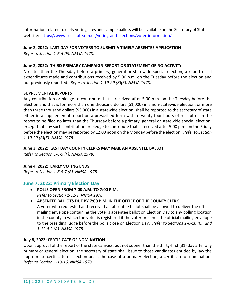Information related to early voting sites and sample ballots will be available on the Secretary of State's website: <https://www.sos.state.nm.us/voting-and-elections/voter-information/>

## **June 2, 2022: LAST DAY FOR VOTERS TO SUBMIT A TIMELY ABSENTEE APPLICATION**

*Refer to Section 1-6-5 (F), NMSA 1978.* 

## **June 2, 2022: THIRD PRIMARY CAMPAIGN REPORT OR STATEMENT OF NO ACTIVITY**

No later than the Thursday before a primary, general or statewide special election, a report of all expenditures made and contributions received by 5:00 p.m. on the Tuesday before the election and not previously reported. *Refer to Section 1-19-29 (B)(5), NMSA 1978.*

## **SUPPLEMENTAL REPORTS**

Any contribution or pledge to contribute that is received after 5:00 p.m. on the Tuesday before the election and that is for more than one thousand dollars (\$1,000) in a non-statewide election, or more than three thousand dollars (\$3,000) in a statewide election, shall be reported to the secretary of state either in a supplemental report on a prescribed form within twenty-four hours of receipt or in the report to be filed no later than the Thursday before a primary, general or statewide special election, except that any such contribution or pledge to contribute that is received after 5:00 p.m. on the Friday before the election may be reported by 12:00 noon on the Monday before the election. *Refer to Section 1-19-29 (B)(5), NMSA 1978.*

### **June 3, 2022: LAST DAY COUNTY CLERKS MAY MAIL AN ABSENTEE BALLOT**

*Refer to Section 1-6-5 (F), NMSA 1978.*

## **June 4, 2022: EARLY VOTING ENDS**

*Refer to Section 1-6-5.7 (B), NMSA 1978.*

## **June 7, 2022: Primary Election Day**

• **POLLS OPEN FROM 7:00 A.M. TO 7:00 P.M.**  *Refer to Section 1-12-1, NMSA 1978.*

## • **ABSENTEE BALLOTS DUE BY 7:00 P.M. IN THE OFFICE OF THE COUNTY CLERK**

A voter who requested and received an absentee ballot shall be allowed to deliver the official mailing envelope containing the voter's absentee ballot on Election Day to any polling location in the county in which the voter is registered if the voter presents the official mailing envelope to the presiding judge before the polls close on Election Day. *Refer to Sections 1-6-10 (C), and 1-12-8.2 (A), NMSA 1978.*

## **July 8, 2022: CERTIFICATE OF NOMINATION**

Upon approval of the report of the state canvass, but not sooner than the thirty-first (31) day after any primary or general election, the secretary of state shall issue to those candidates entitled by law the appropriate certificate of election or, in the case of a primary election, a certificate of nomination. *Refer to Section 1-13-16, NMSA 1978.*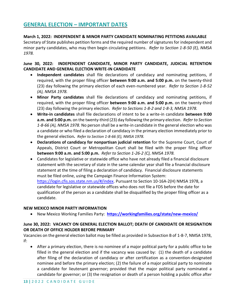## <span id="page-12-0"></span>**GENERAL ELECTION – IMPORTANT DATES**

## **March 1, 2022: INDEPENDENT & MINOR PARTY CANDIDATE NOMINATING PETITIONS AVAILABLE**

Secretary of State publishes petition forms and the required number of signatures for independent and minor party candidates, who may then begin circulating petitions. *Refer to Section 1-8-50 (E), NMSA 1978.*

## **June 30, 2022: INDEPENDENT CANDIDATE, MINOR PARTY CANDIDATE, JUDICIAL RETENTION CANDIDATE AND GENERAL ELECTION WRITE-IN CANDIDATE**

- **Independent candidates** shall file declarations of candidacy and nominating petitions, if required, with the proper filing officer **between 9:00 a.m. and 5:00 p.m.** on the twenty-third (23) day following the primary election of each even-numbered year. *Refer to Section 1-8-52 (A), NMSA 1978.*
- **Minor Party candidates** shall file declarations of candidacy and nominating petitions, if required, with the proper filing officer **between 9:00 a.m. and 5:00 p.m.** on the twenty-third (23) day following the primary election. *Refer to Sections 1-8-2 and 1-8-3, NMSA 1978.*
- **Write-in candidates** shall file declarations of intent to be a write-in candidate **between 9:00 a.m. and 5:00 p.m.** on the twenty-third (23) day following the primary election. *Refer to Section 1-8-66 (A), NMSA 1978.* No person shall be a write-in candidate in the general election who was a candidate or who filed a declaration of candidacy in the primary election immediately prior to the general election*. Refer to Section 1-8-66 (E), NMSA 1978.*
- **Declarations of candidacy for nonpartisan judicial retention** for the Supreme Court, Court of Appeals, District Court or Metropolitan Court shall be filed with the proper filing officer **between 9:00 a.m. and 5:00 p.m.** *Refer to Section 1-26-2 (C), NMSA 1978.*
- Candidates for legislative or statewide office who have not already filed a financial disclosure statement with the secretary of state in the same calendar year shall file a financial disclosure statement at the time of filing a declaration of candidacy. Financial disclosure statements must be filed online, using the Campaign Finance Information System: [https://login.cfis.sos.state.nm.us/#/index.](https://login.cfis.sos.state.nm.us/#/index) Pursuant to Section 10-16A-2(H) NMSA 1978, a candidate for legislative or statewide offices who does not file a FDS before the date for qualification of the person as a candidate shall be disqualified by the proper filing officer as a candidate.

## **NEW MEXICO MINOR PARTY INFORMATION**

• New Mexico Working Families Party: **<https://workingfamilies.org/state/new-mexico/>**

## **June 30, 2022: VACANCY ON GENERAL ELECTION BALLOT; DEATH OF CANDIDATE OR RESIGNATION OR DEATH OF OFFICE HOLDER BEFORE PRIMARY**

Vacancies on the general election ballot may be filled as provided in Subsection B of 1-8-7, NMSA 1978, if:

• After a primary election, there is no nominee of a major political party for a public office to be filled in the general election and if the vacancy was caused by: (1) the death of a candidate after filing of the declaration of candidacy or after certification as a convention-designated nominee and before the primary election; (2) the failure of a major political party to nominate a candidate for lieutenant governor; provided that the major political party nominated a candidate for governor; or (3) the resignation or death of a person holding a public office after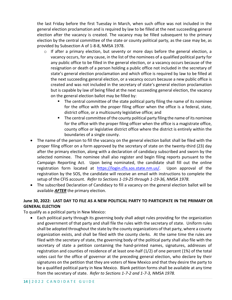the last Friday before the first Tuesday in March, when such office was not included in the general election proclamation and is required by law to be filled at the next succeeding general election after the vacancy is created. The vacancy may be filled subsequent to the primary election by the central committee of the state or county political party, as the case may be, as provided by Subsection A of 1-8-8, NMSA 1978.

- $\circ$  If after a primary election, but seventy or more days before the general election, a vacancy occurs, for any cause, in the list of the nominees of a qualified political party for any public office to be filled in the general election, or a vacancy occurs because of the resignation or death of a person holding a public office not included in the secretary of state's general election proclamation and which office is required by law to be filled at the next succeeding general election, or a vacancy occurs because a new public office is created and was not included in the secretary of state's general election proclamation but is capable by law of being filled at the next succeeding general election, the vacancy on the general election ballot may be filled by:
	- The central committee of the state political party filing the name of its nominee for the office with the proper filing officer when the office is a federal, state, district office, or a multicounty legislative office; and
	- The central committee of the county political party filing the name of its nominee for the office with the proper filing officer when the office is a magistrate office, county office or legislative district office where the district is entirely within the boundaries of a single county.
- The name of the person to fill the vacancy on the general election ballot shall be filed with the proper filing officer on a form approved by the secretary of state on the twenty-third (23) day after the primary election, along with a declaration of candidacy subscribed and sworn by the selected nominee. The nominee shall also register and begin filing reports pursuant to the Campaign Reporting Act. Upon being nominated, the candidate shall fill out the online registration form located at [https://login.cfis.sos.state.nm.us/.](https://login.cfis.sos.state.nm.us/) Upon approval of the registration by the SOS, the candidate will receive an email with instructions to complete the setup of the CFIS account. *Refer to Sections 1-19-25 through 1-19-36, NMSA 1978.*
- The subscribed Declaration of Candidacy to fill a vacancy on the general election ballot will be available *AFTER* the primary election.

## **June 30, 2022: LAST DAY TO FILE AS A NEW POLITICAL PARTY TO PARTICIPATE IN THE PRIMARY OR GENERAL ELECTION**

To qualify as a political party in New Mexico:

• Each political party through its governing body shall adopt rules providing for the organization and government of that party and shall file the rules with the secretary of state. Uniform rules shall be adopted throughout the state by the county organizations of that party, where a county organization exists, and shall be filed with the county clerks. At the same time the rules are filed with the secretary of state, the governing body of the political party shall also file with the secretary of state a petition containing the hand-printed names, signatures, addresses of registration and counties of residence of at least one-half (1/2) of one percent (1%) of the total votes cast for the office of governor at the preceding general election, who declare by their signatures on the petition that they are voters of New Mexico and that they desire the party to be a qualified political party in New Mexico. Blank petition forms shall be available at any time from the secretary of state. *Refer to Sections 1-7-2 and 1-7-3, NMSA 1978.*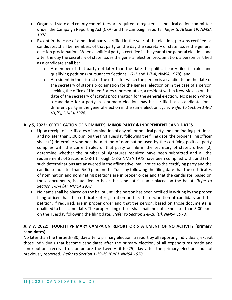- Organized state and county committees are required to register as a political action committee under the Campaign Reporting Act (CRA) and file campaign reports. *Refer to Article 19, NMSA 1978.*
- Except in the case of a political party certified in the year of the election, persons certified as candidates shall be members of that party on the day the secretary of state issues the general election proclamation. When a political party is certified in the year of the general election, and after the day the secretary of state issues the general election proclamation, a person certified as a candidate shall be:
	- o A member of that party not later than the date the political party filed its rules and qualifying petitions (pursuant to Sections 1-7-2 and 1-7-4, NMSA 1978); and
	- $\circ$  A resident in the district of the office for which the person is a candidate on the date of the secretary of state's proclamation for the general election or in the case of a person seeking the office of United States representative, a resident within New Mexico on the date of the secretary of state's proclamation for the general election. No person who is a candidate for a party in a primary election may be certified as a candidate for a different party in the general election in the same election cycle. *Refer to Section 1-8-2 (D)(E), NMSA 1978.*

## **July 5, 2022: CERTIFICATION OF NOMINEES; MINOR PARTY & INDEPENDENT CANDIDATES**

- Upon receipt of certificates of nomination of any minor political party and nominating petitions, and no later than 5:00 p.m. on the first Tuesday following the filing date, the proper filing officer shall: (1) determine whether the method of nomination used by the certifying political party complies with the current rules of that party on file in the secretary of state's office; (2) determine whether the number of signatures required have been submitted and all the requirements of Sections 1-8-1 through 1-8-3 NMSA 1978 have been complied with; and (3) if such determinations are answered in the affirmative, mail notice to the certifying party and the candidate no later than 5:00 p.m. on the Tuesday following the filing date that the certificates of nomination and nominating petitions are in proper order and that the candidate, based on those documents, is qualified to have the candidate's name placed on the ballot. *Refer to Section 1-8-4 (A), NMSA 1978.*
- No name shall be placed on the ballot until the person has been notified in writing by the proper filing officer that the certificate of registration on file, the declaration of candidacy and the petition, if required, are in proper order and that the person, based on those documents, is qualified to be a candidate. The proper filing officer shall mail the notice no later than 5:00 p.m. on the Tuesday following the filing date. *Refer to Section 1-8-26 (D), NMSA 1978.*

## **July 7, 2022: FOURTH PRIMARY CAMPAIGN REPORT OR STATEMENT OF NO ACTIVITY (primary candidates)**

No later than the thirtieth (30) day after a primary election, a report by all reporting individuals, except those individuals that become candidates after the primary election, of all expenditures made and contributions received on or before the twenty-fifth (25) day after the primary election and not previously reported. *Refer to Section 1-19-29 (B)(6), NMSA 1978.*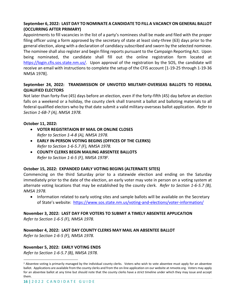## **September 6, 2022: LAST DAY TO NOMINATE A CANDIDATE TO FILL A VACANCY ON GENERAL BALLOT (OCCURRING AFTER PRIMARY)**

Appointments to fill vacancies in the list of a party's nominees shall be made and filed with the proper filing officer using a form approved by the secretary of state at least sixty-three (63) days prior to the general election, along with a declaration of candidacy subscribed and sworn by the selected nominee. The nominee shall also register and begin filing reports pursuant to the Campaign Reporting Act. Upon being nominated, the candidate shall fill out the online registration form located at [https://login.cfis.sos.state.nm.us/.](https://login.cfis.sos.state.nm.us/) Upon approval of the registration by the SOS, the candidate will receive an email with instructions to complete the setup of the CFIS account [1-19-25 through 1-19-36 NMSA 1978].

## **September 24, 2022: TRANSMISSION OF UNVOTED MILITARY-OVERSEAS BALLOTS TO FEDERAL QUALIFIED ELECTORS**

Not later than forty-five (45) days before an election, even if the forty-fifth (45) day before an election falls on a weekend or a holiday, the county clerk shall transmit a ballot and balloting materials to all federal qualified electors who by that date submit a valid military-overseas ballot application. *Refer to Section 1-6B-7 (A), NMSA 1978.*

### **October 11, 2022:**

- **VOTER REGISTRTAION BY MAIL OR ONLINE CLOSES**  *Refer to Section 1-4-8 (A), NMSA 1978.*
- **EARLY IN-PERSON VOTING BEGINS (OFFICES OF THE CLERKS)**  *Refer to Section 1-6-5.7 (F), NMSA 1978.*
- **COUNTY CLERKS BEGIN MAILING ABSENTEE BALLOTS**  *Refer to Section 1-6-5 (F), NMSA 1978<sup>2</sup> .*

## **October 15, 2022: EXPANDED EARLY VOTING BEGINS (ALTERNATE SITES)**

Commencing on the third Saturday prior to a statewide election and ending on the Saturday immediately prior to the date of the election, an early voter may vote in person on a voting system at alternate voting locations that may be established by the county clerk. *Refer to Section 1-6-5.7 (B), NMSA 1978.*

• Information related to early voting sites and sample ballots will be available on the Secretary of State's website: <https://www.sos.state.nm.us/voting-and-elections/voter-information/>

### **November 3, 2022: LAST DAY FOR VOTERS TO SUBMIT A TIMELY ABSENTEE APPLICATION** *Refer to Section 1-6-5 (F), NMSA 1978.*

### **November 4, 2022: LAST DAY COUNTY CLERKS MAY MAIL AN ABSENTEE BALLOT** *Refer to Section 1-6-5 (F), NMSA 1978.*

## **November 5, 2022: EARLY VOTING ENDS**

*Refer to Section 1-6-5.7 (B), NMSA 1978.*

<sup>&</sup>lt;sup>2</sup> Absentee voting is primarily managed by the individual county clerks. Voters who wish to vote absentee must apply for an absentee ballot. Applications are available from the county clerks and from the on-line application on our website at nmvote.org. Voters may apply for an absentee ballot at any time but should note that the county clerks have a strict timeline under which they may issue and accept them.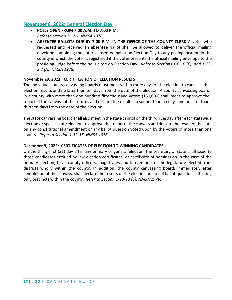## **November 8, 2022: General Election Day**

- **POLLS OPEN FROM 7:00 A.M. TO 7:00 P.M.**  *Refer to Section 1-12-1, NMSA 1978.*
- **ABSENTEE BALLOTS DUE BY 7:00 P.M. IN THE OFFICE OF THE COUNTY CLERK** A voter who requested and received an absentee ballot shall be allowed to deliver the official mailing envelope containing the voter's absentee ballot on Election Day to any polling location in the county in which the voter is registered if the voter presents the official mailing envelope to the presiding judge before the polls close on Election Day. *Refer to Sections 1-6-10 (C), and 1-12- 8.2 (A), NMSA 1978.*

## **November 29, 2022: CERTIFICATION OF ELECTION RESULTS**

The individual county canvassing boards must meet within three days of the election to canvass the election results and no later than ten days from the date of the election. A county canvassing board in a county with more than one hundred fifty thousand voters (150,000) shall meet to approve the report of the canvass of the returns and declare the results no sooner than six days and no later than thirteen days from the date of the election.

The state canvassing board shall also meet in the state capitol on the third Tuesday after each statewide election or special state election to approve the report of the canvass and declare the result of the vote on any constitutional amendment or any ballot question voted upon by the voters of more than one county. *Refer to Section 1-13-15, NMSA 1978.*

## **December 9, 2022: CERTIFICATES OF ELECTION TO WINNING CANDIDATES**

On the thirty-first (31) day after any primary or general election, the secretary of state shall issue to those candidates entitled by law election certificates, or certificate of nomination in the case of the primary election, to all county officers, magistrates and to members of the legislature elected from districts wholly within the county. In addition, the county canvassing board, immediately after completion of the canvass, shall declare the results of the election and of all ballot questions affecting only precincts within the county. *Refer to Section 1-13-13 (C), NMSA 1978.*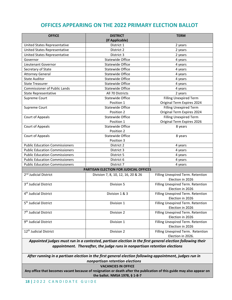## <span id="page-17-0"></span> **OFFICES APPEARING ON THE 2022 PRIMARY ELECTION BALLOT**

| <b>OFFICE</b>                         | <b>DISTRICT</b>                        | <b>TERM</b>                       |
|---------------------------------------|----------------------------------------|-----------------------------------|
|                                       | (If Applicable)                        |                                   |
| United States Representative          | District 1                             | 2 years                           |
| United States Representative          | District 2                             | 2 years                           |
| United States Representative          | District 3                             | 2 years                           |
| Governor                              | <b>Statewide Office</b>                | 4 years                           |
| Lieutenant Governor                   | <b>Statewide Office</b>                | 4 years                           |
| Secretary of State                    | Statewide Office                       | 4 years                           |
| <b>Attorney General</b>               | <b>Statewide Office</b>                | 4 years                           |
| <b>State Auditor</b>                  | Statewide Office                       | 4 years                           |
| <b>State Treasurer</b>                | Statewide Office                       | 4 years                           |
| <b>Commissioner of Public Lands</b>   | <b>Statewide Office</b>                | 4 years                           |
| <b>State Representative</b>           | All 70 Districts                       | 2 years                           |
| Supreme Court                         | <b>Statewide Office</b>                | Filling Unexpired Term            |
|                                       | Position 1                             | Original Term Expires 2024        |
| Supreme Court                         | <b>Statewide Office</b>                | <b>Filling Unexpired Term</b>     |
|                                       | Position 2                             | Original Term Expires 2024        |
| Court of Appeals                      | <b>Statewide Office</b>                | <b>Filling Unexpired Term</b>     |
|                                       | Position 1                             | Original Term Expires 2026        |
| Court of Appeals                      | <b>Statewide Office</b>                | 8 years                           |
|                                       | Position 2                             |                                   |
| Court of Appeals                      | Statewide Office                       | 8 years                           |
|                                       | Position 3                             |                                   |
| <b>Public Education Commissioners</b> | District 2                             | 4 years                           |
| <b>Public Education Commissioners</b> | District 3                             | 4 years                           |
| <b>Public Education Commissioners</b> | District 5                             | 4 years                           |
| <b>Public Education Commissioners</b> | District 6                             | 4 years                           |
| <b>Public Education Commissioners</b> | District 7                             | 4 years                           |
|                                       | PARTISAN ELECTION FOR JUDICIAL OFFICES |                                   |
| 2 <sup>nd</sup> Judicial District     | Division 7, 8, 10, 12, 16, 20 & 26     | Filling Unexpired Term. Retention |
|                                       |                                        | Election in 2026                  |
| 3rd Judicial District                 | Division 5                             | Filling Unexpired Term. Retention |
|                                       |                                        | Election in 2026                  |
| 4 <sup>th</sup> Judicial District     | Division 1 & 3                         | Filling Unexpired Term. Retention |
|                                       |                                        | Election in 2026                  |
| 5 <sup>th</sup> Judicial District     | Division 1                             | Filling Unexpired Term. Retention |
|                                       |                                        | Election in 2026                  |
| 7 <sup>th</sup> Judicial District     | Division 2                             | Filling Unexpired Term. Retention |
|                                       |                                        | Election in 2026                  |
| 9 <sup>th</sup> Judicial District     | Division 1                             | Filling Unexpired Term. Retention |
|                                       |                                        | Election in 2026                  |
| 12 <sup>th</sup> Judicial District    | Division 2                             | Filling Unexpired Term. Retention |
|                                       |                                        | Election in 2026.                 |

*Appointed judges must run in a contested, partisan election in the first general election following their appointment. Thereafter, the judge runs in nonpartisan retention elections*

*After running in a partisan election in the first general election following appointment, judges run in nonpartisan retention elections*

**VACANCIES IN OFFICE**

**Any office that becomes vacant because of resignation or death after the publication of this guide may also appear on the ballot. NMSA 1978, § 1-8-7**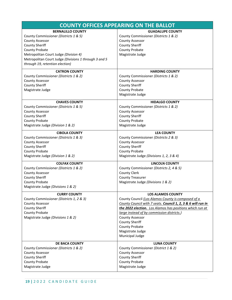| <b>COUNTY OFFICES APPEARING ON THE BALLOT</b>         |                                                              |  |  |  |
|-------------------------------------------------------|--------------------------------------------------------------|--|--|--|
| <b>BERNALILLO COUNTY</b>                              | <b>GUADALUPE COUNTY</b>                                      |  |  |  |
| County Commissioner (Districts 1 & 5)                 | County Commissioner (Districts 1 & 2)                        |  |  |  |
| <b>County Assessor</b>                                | <b>County Assessor</b>                                       |  |  |  |
| <b>County Sheriff</b>                                 | <b>County Sheriff</b>                                        |  |  |  |
| County Probate                                        | County Probate                                               |  |  |  |
| Metropolitan Court Judge (Division 4)                 | Magistrate Judge                                             |  |  |  |
| Metropolitan Court Judge (Divisions 1 through 3 and 5 |                                                              |  |  |  |
| through 19, retention election)                       |                                                              |  |  |  |
| <b>CATRON COUNTY</b>                                  | <b>HARDING COUNTY</b>                                        |  |  |  |
| County Commissioner (Districts 1 & 2)                 | County Commissioner (Districts 1 & 2)                        |  |  |  |
| <b>County Assessor</b>                                | <b>County Assessor</b>                                       |  |  |  |
| <b>County Sheriff</b>                                 | <b>County Sheriff</b>                                        |  |  |  |
| Magistrate Judge                                      | County Probate                                               |  |  |  |
|                                                       | Magistrate Judge                                             |  |  |  |
| <b>CHAVES COUNTY</b>                                  | <b>HIDALGO COUNTY</b>                                        |  |  |  |
| County Commissioner (Districts 1 & 5)                 | County Commissioner (Districts 1 & 2)                        |  |  |  |
| <b>County Assessor</b>                                | <b>County Assessor</b>                                       |  |  |  |
| <b>County Sheriff</b>                                 | <b>County Sheriff</b>                                        |  |  |  |
| County Probate                                        | County Probate                                               |  |  |  |
| Magistrate Judge (Division 1 & 2)                     | Magistrate Judge                                             |  |  |  |
| <b>CIBOLA COUNTY</b>                                  | <b>LEA COUNTY</b>                                            |  |  |  |
| County Commissioner (Districts 1 & 3)                 | County Commissioner (Districts 2 & 3)                        |  |  |  |
| <b>County Assessor</b>                                | County Assessor                                              |  |  |  |
| <b>County Sheriff</b>                                 | <b>County Sheriff</b>                                        |  |  |  |
| County Probate                                        | County Probate                                               |  |  |  |
| Magistrate Judge (Division 1 & 2)                     | Magistrate Judge (Divisions 1, 2, 3 & 4)                     |  |  |  |
| <b>COLFAX COUNTY</b>                                  | <b>LINCOLN COUNTY</b>                                        |  |  |  |
| County Commissioner (Districts 1 & 2)                 | County Commissioner (Districts 2, 4 & 5)                     |  |  |  |
| <b>County Assessor</b>                                | <b>County Clerk</b>                                          |  |  |  |
| <b>County Sheriff</b>                                 | <b>County Treasurer</b>                                      |  |  |  |
| County Probate                                        | Magistrate Judge (Divisions 1 & 2)                           |  |  |  |
| Magistrate Judge (Divisions 1 & 2)                    |                                                              |  |  |  |
| <b>CURRY COUNTY</b>                                   | <b>LOS ALAMOS COUNTY</b>                                     |  |  |  |
| County Commissioner (Districts 1, 2 & 3)              | County Council (Los Alamos County is composed of a           |  |  |  |
| <b>County Assessor</b>                                | County Council with 7 seats. Council 1, 2, 3 & 6 will run in |  |  |  |
| <b>County Sheriff</b>                                 | the 2022 election. Los Alamos has positions which run at     |  |  |  |
| County Probate                                        | large instead of by commission districts.)                   |  |  |  |
| Magistrate Judge (Divisions 1 & 2)                    | County Assessor                                              |  |  |  |
|                                                       | <b>County Sheriff</b>                                        |  |  |  |
|                                                       | County Probate                                               |  |  |  |
|                                                       | Magistrate Judge                                             |  |  |  |
|                                                       | Municipal Judge                                              |  |  |  |
| DE BACA COUNTY                                        | <b>LUNA COUNTY</b>                                           |  |  |  |
| County Commissioner (Districts 1 & 2)                 | County Commissioner (District 1 & 2)                         |  |  |  |
| <b>County Assessor</b>                                | County Assessor                                              |  |  |  |
| <b>County Sheriff</b>                                 | <b>County Sheriff</b>                                        |  |  |  |
| County Probate                                        | County Probate                                               |  |  |  |
| Magistrate Judge                                      | Magistrate Judge                                             |  |  |  |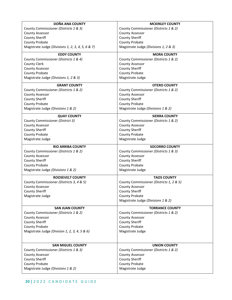| <b>DOÑA ANA COUNTY</b>                                          | <b>MCKINLEY COUNTY</b>                                          |
|-----------------------------------------------------------------|-----------------------------------------------------------------|
| County Commissioner (Districts 1 & 3)                           | County Commissioner (Districts 1 & 2)                           |
| <b>County Assessor</b>                                          | <b>County Assessor</b>                                          |
| <b>County Sheriff</b>                                           | <b>County Sheriff</b>                                           |
| County Probate                                                  | County Probate                                                  |
| Magistrate Judge (Divisions 1, 2, 3, 4, 5, 6 & 7)               | Magistrate Judge (Divisions 1, 2 & 3)                           |
|                                                                 |                                                                 |
| <b>EDDY COUNTY</b>                                              | <b>MORA COUNTY</b>                                              |
| County Commissioner (Districts 1 & 4)                           | County Commissioner (Districts 1 & 2)                           |
| <b>County Clerk</b>                                             | <b>County Assessor</b>                                          |
| <b>County Assessor</b>                                          | <b>County Sheriff</b>                                           |
| County Probate                                                  | County Probate                                                  |
| Magistrate Judge (Divisions 1, 2 & 3)                           | Magistrate Judge                                                |
| <b>GRANT COUNTY</b>                                             | <b>OTERO COUNTY</b>                                             |
| County Commissioner (Districts 1 & 2)                           | County Commissioner (Districts 1 & 2)                           |
| <b>County Assessor</b>                                          | <b>County Assessor</b>                                          |
| <b>County Sheriff</b>                                           | <b>County Sheriff</b>                                           |
| <b>County Probate</b>                                           | County Probate                                                  |
| Magistrate Judge (Divisions 1 & 2)                              | Magistrate Judge (Divisions 1 & 2)                              |
| <b>QUAY COUNTY</b>                                              | <b>SIERRA COUNTY</b>                                            |
| County Commissioner (District 3)                                | County Commissioner (Districts 1 & 2)                           |
| <b>County Assessor</b>                                          | <b>County Assessor</b>                                          |
| <b>County Sheriff</b>                                           | <b>County Sheriff</b>                                           |
| County Probate                                                  | County Probate                                                  |
| Magistrate Judge                                                | Magistrate Judge                                                |
| <b>RIO ARRIBA COUNTY</b>                                        | <b>SOCORRO COUNTY</b>                                           |
| County Commissioner (Districts 1 & 2)                           | County Commissioner (Districts 1 & 3)                           |
| <b>County Assessor</b>                                          | <b>County Assessor</b>                                          |
| <b>County Sheriff</b>                                           | <b>County Sheriff</b>                                           |
| County Probate                                                  | County Probate                                                  |
| Magistrate Judge (Divisions 1 & 2)                              | Magistrate Judge                                                |
| <b>ROOSEVELT COUNTY</b>                                         | <b>TAOS COUNTY</b>                                              |
| County Commissioner (Districts 3, 4 & 5)                        | County Commissioner (Districts 1, 2 & 5)                        |
| <b>County Assessor</b>                                          | <b>County Assessor</b>                                          |
| <b>County Sheriff</b>                                           | <b>County Sheriff</b>                                           |
| Magistrate Judge                                                | County Probate                                                  |
|                                                                 | Magistrate Judge (Divisions 1 & 2)                              |
|                                                                 |                                                                 |
| <b>SAN JUAN COUNTY</b><br>County Commissioner (Districts 1 & 2) | <b>TORRANCE COUNTY</b><br>County Commissioner (Districts 1 & 2) |
| <b>County Assessor</b>                                          | <b>County Assessor</b>                                          |
| <b>County Sheriff</b>                                           | <b>County Sheriff</b>                                           |
| <b>County Probate</b>                                           | County Probate                                                  |
| Magistrate Judge (Division 1, 2, 3, 4, 5 & 6)                   | Magistrate Judge                                                |
|                                                                 |                                                                 |
|                                                                 |                                                                 |
| <b>SAN MIGUEL COUNTY</b>                                        | <b>UNION COUNTY</b>                                             |
| County Commissioner (Districts 1 & 3)                           | County Commissioner (Districts 1 & 2)                           |
| <b>County Assessor</b>                                          | <b>County Assessor</b>                                          |
| <b>County Sheriff</b>                                           | <b>County Sheriff</b>                                           |
| County Probate                                                  | County Probate                                                  |
| Magistrate Judge (Divisions 1 & 2)                              | Magistrate Judge                                                |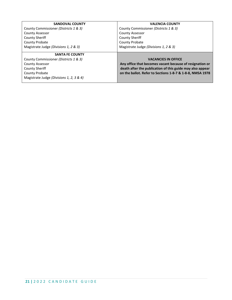| <b>SANDOVAL COUNTY</b>                   | <b>VALENCIA COUNTY</b>                                    |
|------------------------------------------|-----------------------------------------------------------|
| County Commissioner (Districts 1 & 3)    | County Commissioner (Districts 1 & 3)                     |
| <b>County Assessor</b>                   | <b>County Assessor</b>                                    |
| County Sheriff                           | <b>County Sheriff</b>                                     |
| County Probate                           | <b>County Probate</b>                                     |
| Magistrate Judge (Divisions 1, 2 & 3)    | Magistrate Judge (Divisions 1, 2 & 3)                     |
|                                          |                                                           |
|                                          |                                                           |
| <b>SANTA FE COUNTY</b>                   |                                                           |
| County Commissioner (Districts 1 & 3)    | <b>VACANCIES IN OFFICE</b>                                |
| <b>County Assessor</b>                   | Any office that becomes vacant because of resignation or  |
| <b>County Sheriff</b>                    | death after the publication of this guide may also appear |
| County Probate                           | on the ballot. Refer to Sections 1-8-7 & 1-8-8, NMSA 1978 |
| Magistrate Judge (Divisions 1, 2, 3 & 4) |                                                           |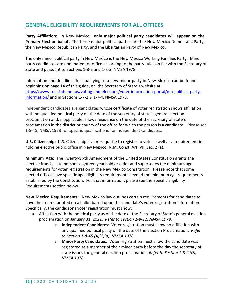## <span id="page-21-0"></span>**GENERAL ELIGIBILITY REQUIREMENTS FOR ALL OFFICES**

**Party Affiliation:** In New Mexico, **only major political party candidates will appear on the Primary Election ballot.** The three major political parties are the New Mexico Democratic Party, the New Mexico Republican Party, and the Libertarian Party of New Mexico.

The only minor political party in New Mexico is the New Mexico Working Families Party. Minor party candidates are nominated for office according to the party rules on file with the Secretary of State and pursuant to Sections 1-8-2 and 1-8-3, NMSA 1978.

Information and deadlines for qualifying as a new minor party in New Mexico can be found beginning on page 14 of this guide, on the Secretary of State's website at [https://www.sos.state.nm.us/voting-and-elections/voter-information-portal/nm-political-party](https://www.sos.state.nm.us/voting-and-elections/voter-information-portal/nm-political-party-information/)[information/](https://www.sos.state.nm.us/voting-and-elections/voter-information-portal/nm-political-party-information/) and in Sections 1-7-2 & 1-7-4, NMSA 1978.

Independent candidates are candidates whose certificate of voter registration shows affiliation with no qualified political party on the date of the secretary of state's general election proclamation and, if applicable, shows residence on the date of the secretary of state's proclamation in the district or county of the office for which the person is a candidate. Please see 1-8-45, NMSA 1978 for specific qualifications for independent candidates.

**U.S. Citizenship:** U.S. Citizenship is a prerequisite to register to vote as well as a requirement in holding elective public office in New Mexico. N.M. Const. Art. VII, Sec. 2 (a).

**Minimum Age:** The Twenty-Sixth Amendment of the United States Constitution grants the elective franchise to persons eighteen years old or older and supersedes the minimum age requirements for voter registration in the New Mexico Constitution. Please note that some elected offices have specific age eligibility requirements beyond the minimum age requirements established by the Constitution. For that information, please see the Specific Eligibility Requirements section below.

**New Mexico Requirements:** New Mexico law outlines certain requirements for candidates to have their name printed on a ballot based upon the candidate's voter registration information. Specifically, the candidate's voter registration must show:

- Affiliation with the political party as of the date of the Secretary of State's general election proclamation on January 31, 2022. *Refer to Section 1-8-12, NMSA 1978.*
	- o **Independent Candidates**: Voter registration must show no affiliation with any qualified political party on the date of the Election Proclamation. *Refer to Section 1-8-45 (A)(1)(a), NMSA 1978.*
	- o **Minor Party Candidates:** Voter registration must show the candidate was registered as a member of their minor party before the day the secretary of state issues the general election proclamation. *Refer to Section 1-8-2 (D), NMSA 1978.*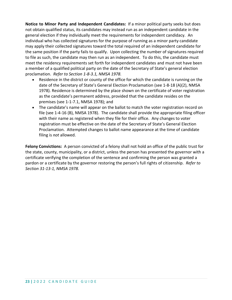**Notice to Minor Party and Independent Candidates:** If a minor political party seeks but does not obtain qualified status, its candidates may instead run as an independent candidate in the general election if they individually meet the requirements for independent candidacy. An individual who has collected signatures for the purpose of running as a minor party candidate may apply their collected signatures toward the total required of an independent candidate for the same position if the party fails to qualify. Upon collecting the number of signatures required to file as such, the candidate may then run as an independent. To do this, the candidate must meet the residency requirements set forth for independent candidates and must not have been a member of a qualified political party on the date of the Secretary of State's general election proclamation. *Refer to Section 1-8-3.1, NMSA 1978.*

- Residence in the district or county of the office for which the candidate is running on the date of the Secretary of State's General Election Proclamation (see 1-8-18 (A)(2), NMSA 1978). Residence is determined by the place shown on the certificate of voter registration as the candidate's permanent address, provided that the candidate resides on the premises (see 1-1-7.1, NMSA 1978); and
- The candidate's name will appear on the ballot to match the voter registration record on file (see 1-4-16 (B), NMSA 1978). The candidate shall provide the appropriate filing officer with their name as registered when they file for their office. Any changes to voter registration must be effective on the date of the Secretary of State's General Election Proclamation. Attempted changes to ballot name appearance at the time of candidate filing is *not* allowed.

**Felony Convictions:** A person convicted of a felony shall not hold an office of the public trust for the state, county, municipality, or a district, unless the person has presented the governor with a certificate verifying the completion of the sentence and confirming the person was granted a pardon or a certificate by the governor restoring the person's full rights of citizenship. *Refer to Section 31-13-1, NMSA 1978.*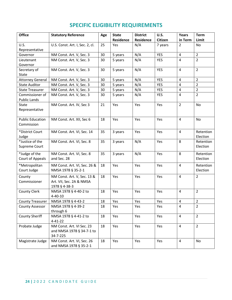## **SPECIFIC ELIGIBILITY REQUIREMENTS**

<span id="page-23-0"></span>

| <b>Office</b>                          | <b>Statutory Reference</b>                                               | Age | <b>State</b><br><b>Residence</b> | <b>District</b><br><b>Residence</b> | U.S.<br><b>Citizen</b> | Years<br>in Term | <b>Term</b><br>Limit  |
|----------------------------------------|--------------------------------------------------------------------------|-----|----------------------------------|-------------------------------------|------------------------|------------------|-----------------------|
| U.S.                                   | U.S. Const. Art. I, Sec. 2, cl.                                          | 25  | Yes                              | N/A                                 | 7 years                | $\overline{2}$   | No                    |
| Representative                         |                                                                          |     |                                  |                                     |                        |                  |                       |
| Governor                               | NM Const. Art. V, Sec. 3                                                 | 30  | 5 years                          | N/A                                 | <b>YES</b>             | $\sqrt{4}$       | $\overline{2}$        |
| Lieutenant                             | NM Const. Art. V, Sec. 3                                                 | 30  | 5 years                          | N/A                                 | <b>YES</b>             | $\overline{4}$   | $\overline{2}$        |
| Governor                               |                                                                          |     |                                  |                                     |                        |                  |                       |
| Secretary of<br>State                  | NM Const. Art. V, Sec. 3                                                 | 30  | 5 years                          | N/A                                 | <b>YES</b>             | $\overline{4}$   | $\overline{2}$        |
| <b>Attorney General</b>                | NM Const. Art. V, Sec. 3                                                 | 30  | 5 years                          | N/A                                 | <b>YES</b>             | $\overline{4}$   | $\overline{2}$        |
| <b>State Auditor</b>                   | NM Const. Art. V, Sec. 3                                                 | 30  | 5 years                          | N/A                                 | <b>YES</b>             | $\overline{4}$   | $\overline{2}$        |
| <b>State Treasurer</b>                 | NM Const. Art. V, Sec. 3                                                 | 30  | 5 years                          | N/A                                 | <b>YES</b>             | 4                | $\overline{2}$        |
| Commissioner of<br><b>Public Lands</b> | NM Const. Art. V, Sec. 3                                                 | 30  | 5 years                          | N/A                                 | <b>YES</b>             | $\overline{4}$   | $\overline{2}$        |
| State<br>Representative                | NM Const. Art. IV, Sec 3                                                 | 21  | Yes                              | Yes                                 | Yes                    | $\overline{2}$   | No                    |
| <b>Public Education</b><br>Commission  | NM Const. Art. XII, Sec 6                                                | 18  | Yes                              | Yes                                 | Yes                    | $\overline{4}$   | No                    |
| *District Court<br>Judge               | NM Const. Art. VI, Sec. 14                                               | 35  | 3 years                          | Yes                                 | Yes                    | $\overline{4}$   | Retention<br>Election |
| *Justice of the<br>Supreme Court       | NM Const. Art. VI, Sec. 8                                                | 35  | 3 years                          | N/A                                 | Yes                    | 8                | Retention<br>Election |
| *Judge of the<br>Court of Appeals      | NM Const. Art. VI, Sec. 8<br>and Sec. 28                                 | 35  | 3 years                          | N/A                                 | Yes                    | 8                | Retention<br>Election |
| *Metropolitan<br>Court Judge           | NM Const. Art. VI, Sec. 26 &<br>NMSA 1978 § 35-2-1                       | 18  | Yes                              | Yes                                 | Yes                    | $\overline{4}$   | Retention<br>Election |
| County<br>Commissioner                 | NM Const. Art. V, Sec. 13 &<br>Art. VII, Sec. 2A & NMSA<br>1978 § 4-38-3 | 18  | Yes                              | Yes                                 | Yes                    | $\overline{4}$   | $\overline{2}$        |
| <b>County Clerk</b>                    | NMSA 1978 § 4-40-2 to<br>$4 - 40 - 10$                                   | 18  | Yes                              | Yes                                 | Yes                    | $\overline{4}$   | $\overline{2}$        |
| <b>County Treasurer</b>                | NMSA 1978 § 4-43-2                                                       | 18  | Yes                              | Yes                                 | Yes                    | $\overline{4}$   | $\overline{2}$        |
| <b>County Assessor</b>                 | NMSA 1978 § 4-39-2<br>through 6                                          | 18  | Yes                              | Yes                                 | Yes                    | 4                | $\overline{2}$        |
| <b>County Sheriff</b>                  | NMSA 1978 § 4-41-2 to<br>$4 - 41 - 22$                                   | 18  | Yes                              | Yes                                 | Yes                    | $\overline{4}$   | $\overline{2}$        |
| Probate Judge                          | NM Const. Art. VI Sec. 23<br>and NMSA 1978 § 34-7-1 to<br>34-7-225       | 18  | Yes                              | Yes                                 | Yes                    | 4                | $\overline{2}$        |
| Magistrate Judge                       | NM Const. Art. VI, Sec. 26<br>and NMSA 1978 § 35-2-1                     | 18  | Yes                              | Yes                                 | Yes                    | $\overline{4}$   | No                    |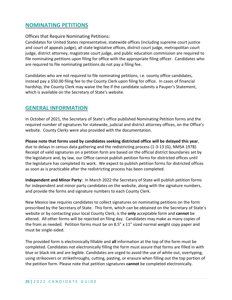## <span id="page-24-0"></span>**NOMINATING PETITIONS**

<span id="page-24-1"></span>Offices that Require Nominating Petitions:

Candidates for United States representative, statewide offices (including supreme court justice and court of appeals judge), all state legislative offices, district court judge, metropolitan court judge, district attorney, magistrate court judge, and public education commission are required to file nominating petitions upon filing for office with the appropriate filing officer. Candidates who are required to file nominating petitions do not pay a filing fee.

Candidates who are not required to file nominating petitions, i.e. county office candidates, instead pay a \$50.00 filing fee to the County Clerk upon filing for office. In cases of financial hardship, the County Clerk may waive the fee if the candidate submits a Pauper's Statement, which is available on the Secretary of State's website.

## <span id="page-24-2"></span>**GENERAL INFORMATION**

In October of 2021, the Secretary of State's office published Nominating Petition forms and the required number of signatures for statewide, judicial and district attorney offices, on the Office's website. County Clerks were also provided with the documentation.

**Please note that forms used by candidates seeking districted office will be delayed this year**, due to delays in census data gathering and the redistricting process (1-3-13 (G), NMSA 1978). Receipt of valid signatures on a petition form are based on the official district boundaries set by the legislature and, by law, our Office cannot publish petition forms for districted offices until the legislature has completed its work. We expect to publish petition forms for districted offices as soon as is practicable after the redistricting process has been completed.

**Independent and Minor Party:** In March 2022 the Secretary of State will publish petition forms for independent and minor party candidates on the website, along with the signature numbers, and provide the forms and signature numbers to each County Clerk.

New Mexico law requires candidates to collect signatures on nominating petitions on the form prescribed by the Secretary of State. This form, which can be obtained on the Secretary of State's website or by contacting your local County Clerk, is the **only** acceptable form and **cannot** be altered. All other forms will be rejected on filing day. Candidates may make as many copies of the from as needed. Petition forms must be on 8.5" x 11" sized normal weight copy paper and must be single-sided.

The provided form is electronically fillable and **all** information at the top of the form must be completed. Candidates not electronically filling the form must assure that forms are filled in with blue or black ink and are legible. Candidates are urged to avoid the use of white out, overtyping, using strikeovers or strikethroughs, cutting, pasting, or erasure when filling out the top portion of the petition form. Please note that petition signatures **cannot** be completed electronically.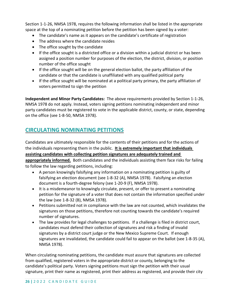Section 1-1-26, NMSA 1978, requires the following information shall be listed in the appropriate space at the top of a nominating petition before the petition has been signed by a voter:

- The candidate's name as it appears on the candidate's certificate of registration
- The address where the candidate resides
- The office sought by the candidate
- If the office sought is a districted office or a division within a judicial district or has been assigned a position number for purposes of the election, the district, division, or position number of the office sought
- If the office sought will be on the general election ballot, the party affiliation of the candidate or that the candidate is unaffiliated with any qualified political party
- If the office sought will be nominated at a political party primary, the party affiliation of voters permitted to sign the petition

**Independent and Minor Party Candidates:** The above requirements provided by Section 1-1-26, NMSA 1978 do not apply. Instead, voters signing petitions nominating independent and minor party candidates must be registered to vote in the applicable district, county, or state, depending on the office (see 1-8-50, NMSA 1978).

## <span id="page-25-0"></span>**CIRCULATING NOMINATING PETITIONS**

Candidates are ultimately responsible for the contents of their petitions and for the actions of the individuals representing them in the public. **It is extremely important that individuals assisting candidates with collecting petition signatures are adequately trained and appropriately informed.** Both candidates and the individuals assisting them face risks for failing to follow the law regarding petitions, including:

- A person knowingly falsifying any information on a nominating petition is guilty of falsifying an election document (see 1-8-32 (A), NMSA 1978). Falsifying an election document is a fourth-degree felony (see 1-20-9 (F), NMSA 1978).
- It is a misdemeanor to knowingly circulate, present, or offer to present a nominating petition for the signature of a voter that does not contain the information specified under the law (see 1-8-32 (B), NMSA 1978).
- Petitions submitted not in compliance with the law are not counted, which invalidates the signatures on those petitions, therefore not counting towards the candidate's required number of signatures.
- The law provides for legal challenges to petitions. If a challenge is filed in district court, candidates must defend their collection of signatures and risk a finding of invalid signatures by a district court judge or the New Mexico Supreme Court. If enough signatures are invalidated, the candidate could fail to appear on the ballot (see 1-8-35 (A), NMSA 1978).

When circulating nominating petitions, the candidate must assure that signatures are collected from qualified, registered voters in the appropriate district or county, belonging to the candidate's political party. Voters signing petitions must sign the petition with their usual signature, print their name as registered, print their address as registered, and provide their city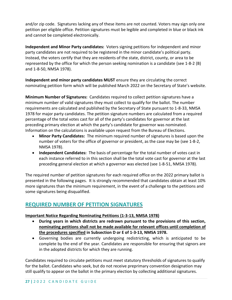and/or zip code. Signatures lacking any of these items are not counted. Voters may sign only one petition per eligible office. Petition signatures must be legible and completed in blue or black ink and cannot be completed electronically.

**Independent and Minor Party candidates:** Voters signing petitions for independent and minor party candidates are not required to be registered in the minor candidate's political party. Instead, the voters certify that they are residents of the state, district, county, or area to be represented by the office for which the person seeking nomination is a candidate (see 1-8-2 (B) and 1-8-50, NMSA 1978).

**Independent and minor party candidates MUST** ensure they are circulating the correct nominating petition form which will be published March 2022 on the Secretary of State's website.

**Minimum Number of Signatures:** Candidates required to collect petition signatures have a minimum number of valid signatures they must collect to qualify for the ballot. The number requirements are calculated and published by the Secretary of State pursuant to 1-8-33, NMSA 1978 for major party candidates. The petition signature numbers are calculated from a required percentage of the total votes cast for all of the party's candidates for governor at the last preceding primary election at which the party's candidate for governor was nominated. Information on the calculations is available upon request from the Bureau of Elections.

- **Minor Party Candidates:** The minimum required number of signatures is based upon the number of voters for the office of governor or president, as the case may be (see 1-8-2, NMSA 1978).
- **Independent Candidates:** The basis of percentage for the total number of votes cast in each instance referred to in this section shall be the total vote cast for governor at the last preceding general election at which a governor was elected (see 1-8-51, NMSA 1978).

The required number of petition signatures for each required office on the 2022 primary ballot is presented in the following pages. It is strongly recommended that candidates obtain at least 10% more signatures than the minimum requirement, in the event of a challenge to the petitions and some signatures being disqualified.

## <span id="page-26-0"></span>**REQUIRED NUMBER OF PETITION SIGNATURES**

## <span id="page-26-1"></span>**Important Notice Regarding Nominating Petitions (1-3-13, NMSA 1978)**

- **During years in which districts are redrawn pursuant to the provisions of this section, nominating petitions shall not be made available for relevant offices until completion of the procedures specified in Subsection D or E of 1-3-13, NMSA 1978.**
- Governing bodies are currently undergoing redistricting, which is anticipated to be complete by the end of the year. Candidates are responsible for ensuring that signors are in the adopted districts for which they are running.

Candidates required to circulate petitions must meet statutory thresholds of signatures to qualify for the ballot. Candidates who seek, but do not receive preprimary convention designation may still qualify to appear on the ballot in the primary election by collecting additional signatures.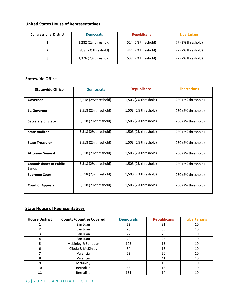## <span id="page-27-0"></span>**United States House of Representatives**

| <b>Congressional District</b> | <b>Democrats</b>     | <b>Republicans</b> | <b>Libertarians</b> |
|-------------------------------|----------------------|--------------------|---------------------|
|                               | 1,282 (2% threshold) | 524 (2% threshold) | 77 (2% threshold)   |
|                               | 859 (2% threshold)   | 441 (2% threshold) | 77 (2% threshold)   |
|                               | 1,376 (2% threshold) | 537 (2% threshold) | 77 (2% threshold)   |

## <span id="page-27-1"></span>**Statewide Office**

| <b>Statewide Office</b>                | <b>Democrats</b>     | <b>Republicans</b>   | <b>Libertarians</b> |
|----------------------------------------|----------------------|----------------------|---------------------|
| Governor                               | 3,518 (2% threshold) | 1,503 (2% threshold) | 230 (2% threshold)  |
| Lt. Governor                           | 3,518 (2% threshold) | 1,503 (2% threshold) | 230 (2% threshold)  |
| <b>Secretary of State</b>              | 3,518 (2% threshold) | 1,503 (2% threshold) | 230 (2% threshold)  |
| <b>State Auditor</b>                   | 3,518 (2% threshold) | 1,503 (2% threshold) | 230 (2% threshold)  |
| <b>State Treasurer</b>                 | 3,518 (2% threshold) | 1,503 (2% threshold) | 230 (2% threshold)  |
| <b>Attorney General</b>                | 3,518 (2% threshold) | 1,503 (2% threshold) | 230 (2% threshold)  |
| <b>Commissioner of Public</b><br>Lands | 3,518 (2% threshold) | 1,503 (2% threshold) | 230 (2% threshold)  |
| <b>Supreme Court</b>                   | 3,518 (2% threshold) | 1,503 (2% threshold) | 230 (2% threshold)  |
| <b>Court of Appeals</b>                | 3,518 (2% threshold) | 1,503 (2% threshold) | 230 (2% threshold)  |

### <span id="page-27-2"></span>**State House of Representatives**

| <b>House District</b> | <b>County/Counties Covered</b> | <b>Democrats</b> | <b>Republicans</b> | <b>Libertarians</b> |
|-----------------------|--------------------------------|------------------|--------------------|---------------------|
|                       | San Juan                       | 23               | 81                 | 10                  |
|                       | San Juan                       | 26               | 55                 | 10                  |
| 3                     | San Juan                       | 27               | 73                 | 10                  |
|                       | San Juan                       | 40               | 23                 | 10                  |
| 5.                    | McKinley & San Juan            | 103              | 15                 | 10                  |
| 6                     | Cibola & McKinley              | 84               | 18                 | 10                  |
|                       | Valencia                       | 53               | 26                 | 10                  |
| 8                     | Valencia                       | 53               | 41                 | 10                  |
| 9                     | McKinley                       | 65               | 10                 | 10                  |
| 10                    | Bernalillo                     | 66               | 13                 | 10                  |
| 11                    | Bernalillo                     | 151              | 14                 | 10                  |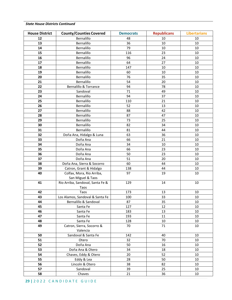### *State House Districts Continued*

| <b>House District</b> | <b>County/Counties Covered</b>   | <b>Democrats</b> | <b>Republicans</b> | <b>Libertarians</b> |
|-----------------------|----------------------------------|------------------|--------------------|---------------------|
| 12                    | Bernalillo                       | 48               | 10                 | 10                  |
| 13                    | Bernalillo                       | 36               | 10                 | 10                  |
| 14                    | Bernalillo                       | 79               | 10                 | 10                  |
| 15                    | Bernalillo                       | 116              | 23                 | 10                  |
| 16                    | Bernalillo                       | 96               | 24                 | 10                  |
| 17                    | Bernalillo                       | 64               | 27                 | 10                  |
| 18                    | Bernalillo                       | 147              | 10                 | 10                  |
| 19                    | Bernalillo                       | 60               | 10                 | 10                  |
| 20                    | Bernalillo                       | 76               | 35                 | 10                  |
| 21                    | Bernalillo                       | 54               | 20                 | 10                  |
| 22                    | Bernalillo & Torrance            | 94               | 78                 | 10                  |
| 23                    | Sandoval                         | 71               | 49                 | 10                  |
| 24                    | Bernalillo                       | 94               | 37                 | 10                  |
| 25                    | Bernalillo                       | 110              | 21                 | 10                  |
| 26                    | Bernalillo                       | 52               | 13                 | 10                  |
| 27                    | Bernalillo                       | 88               | 42                 | 10                  |
| 28                    | Bernalillo                       | 87               | 47                 | 10                  |
| 29                    | Bernalillo                       | 73               | 25                 | 10                  |
| 30                    | Bernalillo                       | 82               | 34                 | 10                  |
| 31                    | Bernalillo                       | 81               | 44                 | 10                  |
| 32                    | Doña Ana, Hidalgo & Luna         | 63               | 36                 | 10                  |
| 33                    | Doña Ana                         | 66               | 21                 | 10                  |
| 34                    | Doña Ana                         | 34               | 10                 | 10                  |
| 35                    | Doña Ana                         | 66               | 23                 | 10                  |
| 36                    | Doña Ana                         | 50               | 23                 | 10                  |
| 37                    | Doña Ana                         | 51               | 20                 | 10                  |
| 38                    | Doña Ana, Sierra & Socorro       | 60               | 44                 | 10                  |
| 39                    | Catron, Grant & Hidalgo          | 138              | 44                 | 10                  |
| 40                    | Colfax, Mora, Rio Arriba,        | 97               | 19                 | 10                  |
|                       | San Miguel & Taos                |                  |                    |                     |
| 41                    | Rio Arriba, Sandoval, Santa Fe & | 129              | 14                 | $10\,$              |
|                       | Taos                             |                  |                    |                     |
| 42                    | Taos                             | 173              | 13                 | $10\,$              |
| 43                    | Los Alamos, Sandoval & Santa Fe  | 100              | 33                 | 10                  |
| 44                    | Bernalillo & Sandoval            | 87               | 35                 | 10                  |
| 45                    | Santa Fe                         | 127              | 12                 | 10                  |
| 46                    | Santa Fe                         | 183              | 13                 | 10                  |
| 47                    | Santa Fe                         | 193              | 11                 | 10                  |
| 48                    | Santa Fe                         | 128              | 10                 | 10                  |
| 49                    | Catron, Sierra, Socorro &        | 70               | 71                 | 10                  |
|                       | Valencia<br>Sandoval & Santa Fe  |                  |                    |                     |
| 50<br>51              | Otero                            | 142<br>32        | 40<br>70           | 10<br>10            |
| 52                    | Doña Ana                         | 50               | 16                 | 10                  |
| 53                    | Doña Ana & Otero                 | 34               | 18                 | 10                  |
| 54                    | Chaves, Eddy & Otero             | 20               | 52                 | 10                  |
| 55                    | Eddy & Lea                       | 28               | 50                 | 10                  |
| 56                    | Lincoln & Otero                  | 38               | 82                 | 10                  |
| 57                    | Sandoval                         | 39               | 25                 | 10                  |
| 58                    | Chaves                           | 21               | 36                 | 10                  |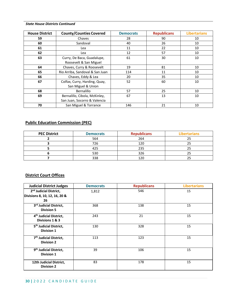### *State House Districts Continued*

| <b>House District</b> | <b>County/Counties Covered</b>  | <b>Democrats</b> | <b>Republicans</b> | <b>Libertarians</b> |
|-----------------------|---------------------------------|------------------|--------------------|---------------------|
| 59                    | Chaves                          | 28               | 90                 | 10                  |
| 60                    | Sandoval                        | 40               | 26                 | 10                  |
| 61                    | Lea                             | 11               | 22                 | 10                  |
| 62                    | Lea                             | 12               | 57                 | 10                  |
| 63                    | Curry, De Baca, Guadalupe,      | 61               | 30                 | 10                  |
|                       | Roosevelt & San Miguel          |                  |                    |                     |
| 64                    | Chaves, Curry & Roosevelt       | 19               | 81                 | 10                  |
| 65                    | Rio Arriba, Sandoval & San Juan | 114              | 11                 | 10                  |
| 66                    | Chaves, Eddy & Lea              | 20               | 35                 | 10                  |
| 67                    | Colfax, Curry, Harding, Quay,   | 52               | 60                 | 10                  |
|                       | San Miguel & Union              |                  |                    |                     |
| 68                    | Bernalillo                      | 57               | 25                 | 10                  |
| 69                    | Bernalillo, Cibola, McKinley,   | 67               | 13                 | 10                  |
|                       | San Juan, Socorro & Valencia    |                  |                    |                     |
| 70                    | San Miguel & Torrance           | 146              | 21                 | 10                  |

## <span id="page-29-0"></span>**Public Education Commission (PEC)**

| <b>PEC District</b> | <b>Democrats</b> | <b>Republicans</b> | <b>Libertarians</b> |
|---------------------|------------------|--------------------|---------------------|
|                     | 564              | 264                |                     |
|                     | 726              | 120                |                     |
|                     | 425              | 235                |                     |
|                     | 530              | 326                |                     |
|                     | 338              | 120                |                     |

## <span id="page-29-1"></span>**District Court Offices**

| <b>Judicial District Judges</b>                                           | <b>Democrats</b> | <b>Republicans</b> | <b>Libertarians</b> |
|---------------------------------------------------------------------------|------------------|--------------------|---------------------|
| 2 <sup>nd</sup> Judicial District,<br>Divisions 8, 10, 12, 16, 20 &<br>26 | 1,812            | 546                | 15                  |
| 3rd Judicial District,<br><b>Division 5</b>                               | 368              | 138                | 15                  |
| 4 <sup>th</sup> Judicial District,<br>Divisions 1 & 3                     | 243              | 21                 | 15                  |
| 5 <sup>th</sup> Judicial District,<br><b>Division 1</b>                   | 130              | 328                | 15                  |
| 7 <sup>th</sup> Judicial District,<br><b>Division 2</b>                   | 113              | 123                | 15                  |
| 9 <sup>th</sup> Judicial District,<br><b>Division 1</b>                   | 39               | 106                | 15                  |
| 12th Judicial District,<br><b>Division 2</b>                              | 83               | 178                | 15                  |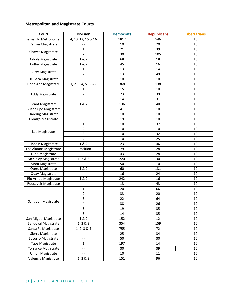## <span id="page-30-0"></span>**Metropolitan and Magistrate Courts**

| Court                       | <b>Division</b>          | <b>Democrats</b> | <b>Republicans</b> | <b>Libertarians</b> |
|-----------------------------|--------------------------|------------------|--------------------|---------------------|
| Bernalillo Metropolitan     | 4, 10, 12, 15 & 16       | 1812             | 546                | 10                  |
| <b>Catron Magistrate</b>    |                          | 10               | 20                 | 10                  |
|                             | $\mathbf{1}$             | 21               | 39                 | 10                  |
| Chaves Magistrate           | $\overline{2}$           | 30               | 105                | 10                  |
| Cibola Magistrate           | 1 & 2                    | 68               | 18                 | 10                  |
| Colfax Magistrate           | 1 & 2                    | 45               | 16                 | 10                  |
|                             | $\mathbf{1}$             | 13               | 14                 | 10                  |
| <b>Curry Magistrate</b>     | $\overline{2}$           | 13               | 49                 | 10                  |
| De Baca Magistrate          | $\overline{\phantom{a}}$ | 10               | 10                 | 10                  |
| Dona Ana Magistrate         | 1, 2, 3, 4, 5, 6 & 7     | 368              | 138                | 10                  |
|                             | 1                        | 15               | 10                 | 10                  |
| <b>Eddy Magistrate</b>      | $\overline{2}$           | 23               | 39                 | 10                  |
|                             | 3                        | 14               | 31                 | 10                  |
| <b>Grant Magistrate</b>     | 1 & 2                    | 136              | 40                 | 10                  |
| <b>Guadalupe Magistrate</b> | $\overline{\phantom{a}}$ | 41               | 10                 | 10                  |
| <b>Harding Magistrate</b>   | --                       | 10               | 10                 | 10                  |
| Hidalgo Magistrate          | $\overline{\phantom{a}}$ | 19               | 10                 | 10                  |
|                             | 1                        | 10               | 37                 | 10                  |
|                             | $\overline{2}$           | $10\,$           | 10                 | 10                  |
| Lea Magistrate              | 3                        | 10               | 32                 | 10                  |
|                             | 4                        | 10               | 25                 | 10                  |
| Lincoln Magistrate          | 1 & 2                    | 23               | 46                 | 10                  |
| Los Alamos Magistrate       | 1 Position               | 79               | 28                 | 10                  |
| Luna Magistrate             | --                       | 43               | 28                 | 10                  |
| McKinley Magistrate         | 1, 2 & 8 & 3             | 220              | 30                 | 10                  |
| Mora Magistrate             | $\overline{\phantom{a}}$ | 50               | 10                 | 10                  |
| Otero Magistrate            | 1 & 2                    | 60               | 131                | 10                  |
| Quay Magistrate             |                          | 16               | 24                 | 10                  |
| Rio Arriba Magistrate       | 1 & 2                    | 242              | 16                 | 10                  |
| Roosevelt Magistrate        | $\overline{\phantom{a}}$ | 13               | 43                 | 10                  |
|                             | 1                        | 20               | 66                 | 10                  |
|                             | $\overline{2}$           | 33               | 20                 | 10                  |
|                             | 3                        | 22               | 64                 | 10                  |
| San Juan Magistrate         | $\overline{\mathbf{4}}$  | 38               | 26                 | 10                  |
|                             | 5                        | 19               | 35                 | 10                  |
|                             | 6                        | 14               | 35                 | 10                  |
| San Miguel Magistrate       | 1 & 2                    | 152              | 12                 | 10                  |
| Sandoval Magistrate         | 1, 2 & 3                 | 354              | 159                | 10                  |
| Santa Fe Magistrate         | 1, 2, 3 & 4              | 755              | 72                 | 10                  |
| Sierra Magistrate           | $-$                      | 25               | 34                 | 10                  |
| Socorro Magistrate          | $\overline{\phantom{a}}$ | 50               | 30                 | 10                  |
| Taos Magistrate             | $\mathbf{1}$             | 197              | 14                 | 10                  |
| <b>Torrance Magistrate</b>  | $\overline{\phantom{a}}$ | 30               | 39                 | 10                  |
| <b>Union Magistrate</b>     | --                       | 10               | $11\,$             | 10                  |
| Valencia Magistrate         | 1, 2 & 3                 | 151              | 96                 | 10                  |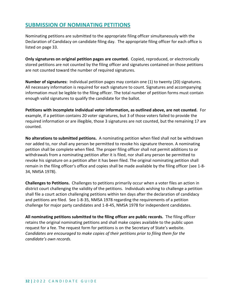## <span id="page-31-0"></span>**SUBMISSION OF NOMINATING PETITIONS**

Nominating petitions are submitted to the appropriate filing officer simultaneously with the Declaration of Candidacy on candidate filing day. The appropriate filing officer for each office is listed on page 33.

**Only signatures on original petition pages are counted.** Copied, reproduced, or electronically stored petitions are not counted by the filing officer and signatures contained on those petitions are not counted toward the number of required signatures.

**Number of signatures:** Individual petition pages may contain one (1) to twenty (20) signatures. All necessary information is required for each signature to count. Signatures and accompanying information must be legible to the filing officer. The total number of petition forms must contain enough valid signatures to qualify the candidate for the ballot.

**Petitions with incomplete individual voter information, as outlined above, are not counted.** For example, if a petition contains 20 voter signatures, but 3 of those voters failed to provide the required information or are illegible, those 3 signatures are not counted, but the remaining 17 are counted.

**No alterations to submitted petitions.** A nominating petition when filed shall not be withdrawn nor added to, nor shall any person be permitted to revoke his signature thereon. A nominating petition shall be complete when filed. The proper filing officer shall not permit additions to or withdrawals from a nominating petition after it is filed, nor shall any person be permitted to revoke his signature on a petition after it has been filed. The original nominating petition shall remain in the filing officer's office and copies shall be made available by the filing officer (see 1-8- 34, NMSA 1978).

**Challenges to Petitions.** Challenges to petitions primarily occur when a voter files an action in district court challenging the validity of the petitions. Individuals wishing to challenge a petition shall file a court action challenging petitions within ten days after the declaration of candidacy and petitions are filed. See 1-8-35, NMSA 1978 regarding the requirements of a petition challenge for major party candidates and 1-8-45, NMSA 1978 for independent candidates.

**All nominating petitions submitted to the filing officer are public records.** The filing officer retains the original nominating petitions and shall make copies available to the public upon request for a fee. The request form for petitions is on the Secretary of State's website. *Candidates are encouraged to make copies of their petitions prior to filing them for the candidate's own records.*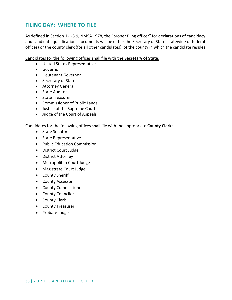## <span id="page-32-0"></span>**FILING DAY: WHERE TO FILE**

As defined in Section 1-1-5.9, NMSA 1978, the "proper filing officer" for declarations of candidacy and candidate qualifications documents will be either the Secretary of State (statewide or federal offices) or the county clerk (for all other candidates), of the county in which the candidate resides.

<span id="page-32-1"></span>Candidates for the following offices shall file with the **Secretary of State**:

- United States Representative
- Governor
- Lieutenant Governor
- Secretary of State
- Attorney General
- State Auditor
- State Treasurer
- Commissioner of Public Lands
- Justice of the Supreme Court
- Judge of the Court of Appeals

### <span id="page-32-2"></span>Candidates for the following offices shall file with the appropriate **County Clerk:**

- State Senator
- State Representative
- Public Education Commission
- District Court Judge
- District Attorney
- Metropolitan Court Judge
- Magistrate Court Judge
- County Sheriff
- County Assessor
- County Commissioner
- County Councilor
- County Clerk
- County Treasurer
- Probate Judge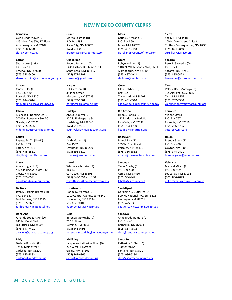## **NEW MEXICO COUNTY CLERKS**

#### **Bernalillo**

Clerk: Linda Stover (D) 415 Silver Ave SW, 2nd Floor Albuquerque, NM 87102 (505) 468-1290 [clerk@bernco.gov](mailto:clerk@bernco.gov)

### **Catron**

Sharon Armijo (R) P.O. Box 197 Reserve, NM 87830 (575) 533-6400 [sharon.armijo@catroncountynm.gov](mailto:sharon.armijo@catroncountynm.gov)

**Chaves** Cindy Fuller (R)

P.O. Box 580 Roswell, NM 88202 (575) 624-6614 [cindy.fuller@chavescounty.gov](mailto:cindy.fuller@chavescounty.gov)

#### **Cibola**

Michelle E. Dominguez (D) 700 East Roosevelt Ste. 50 Grants, NM 87020 (505) 285-2535 [mdominguez@co.cibola.nm.us](mailto:mdominguez@co.cibola.nm.us)

#### **Colfax**

Rayetta M. Trujillo (D) P.O Box 159 Raton, NM 87740 (575) 445-5551 [rtrujillo@co.colfax.nm.us](mailto:rtrujillo@co.colfax.nm.us)

#### **Curry**

Annie Hogland (R) 417 Gidding St., Suite 130 Clovis, NM 88101 (575) 763-5591 [ahogland@currycounty.org](mailto:ahogland@currycounty.org)

**De Baca** Jeffrey Barfield Hromas (R) P.O. Box 347 Fort Sumner, NM 88119 (575) 355-2601 [Jeffhromas@plateautel.net](mailto:Jeffhromas@plateautel.net)

#### **Doña Ana** Amanda Lopez Askin (D) 845 N. Motel Blvd. Las Cruces, NM 88007 (575) 647-7421 [dacclerk@donaanacounty.org](mailto:dacclerk@donaanacounty.org)

#### **Eddy**

Darlene Rosprim (R) 325 S. Main Street Carlsbad, NM 88220 (575) 885-3383 [darlene@co.eddy.nm.us](mailto:darlene@co.eddy.nm.us)

#### **Grant**

Marisa Castrillo (D) P.O. Box 898 Silver City, NM 88062 (575) 574-0042 [grantmcastri@cybermesa.com](mailto:grantmcastri@cybermesa.com)

#### **Guadalupe**

Robert Serrano III (D) 1448 Historic Route 66 Ste 1 Santa Rosa, NM 88435 (575) 472-3791 [rserrano@guadco.us](mailto:rserrano@guadco.us)

#### **Harding**

C.J. Garrison (R) 35 Pine Street Mosquero, NM 87733 (575) 673-2301 [hardingcc@plateautel.net](mailto:hardingcc@plateautel.net)

#### **Hidalgo**

**Lea**

Alyssa Esquivel (D) 300 S. Shakespeare St. Lordsburg, NM 88045 (575) 542-9213 [countyclerk@hidalgocounty.org](mailto:countyclerk@hidalgocounty.org)

Keith Manes (R) Box 1507 Lovington, NM 88260 (575) 396-8619 [kmanes@leacounty.net](mailto:kmanes@leacounty.net)

#### **Lincoln** Whitney Whittaker (R) Box 338 Carrizozo, NM 88301 (575) 648-2394 ext. 130 [wwhittaker@lincolncountynm.gov](mailto:wwhittaker@lincolncountynm.gov)

### **Los Alamos**

Naomi D. Maestas (D) 1000 Central Avenue, Suite 240 Los Alamos, NM 87544 505-662-8010 [naomi.maestas@lacnm.us](mailto:naomi.maestas@lacnm.us)

## **Luna** Berenda McWright (D)

700 S. Silver Deming, NM 88030 (575) 546-0491 [berenda\\_mcwright@lunacountynm.us](mailto:berenda_mcwright@lunacountynm.us)

#### **McKinley**

Jacqueline Katherine Sloan (D) 207 West Hill Street Gallup, NM 87301 (505) 863-6866 [clerk@co.mckinley.nm.us](mailto:clerk@co.mckinley.nm.us)

#### **Mora**

Carlos J. Arellano (D) P.O. Box 360 Mora, NM 87732 (575) 387-2448 [cjarellano@countyofmora.com](mailto:cjarellano@countyofmora.com)

### **Otero**

Robyn Holmes (R) 1104 N. White Sands Blvd., Ste. C Alamogordo, NM 88310 (575) 437-4942 [rholmes@co.otero.nm.us](mailto:rholmes@co.otero.nm.us)

### **Quay** Ellen L. White (D)

Box 1225 Tucumcari, NM 88401 (575) 461-0510 [ellen.white@quaycounty-nm.gov](mailto:ellen.white@quaycounty-nm.gov)

#### **Rio Arriba**

Linda J. Padilla (D) 1122 Industrial Park Rd. Española, NM 87532 (505) 753-1780 [ljpadilla@rio-arriba.org](mailto:ljpadilla@rio-arriba.org)

#### **Roosevelt**

Mandi Park (R) 109 W. First Street Portales, NM 88130 (575) 356-8562 [mpark@rooseveltcounty.com](mailto:mpark@rooseveltcounty.com)

#### **San Juan** Tanya Shelby (R) P.O. Box 550 Aztec, NM 87410 (505) 334-9471 [tshelby@sjcounty.net](mailto:tshelby@sjcounty.net)

#### **San Miguel**

Geraldine E. Gutierrez (D) 500 W. National Ave. Suite 113 Las Vegas, NM 87701 (505) 425-9331 [ggutierrez@co.sanmiguel.nm.us](mailto:ggutierrez@co.sanmiguel.nm.us)

#### **Sandoval**

Anne Brady-Romero (D) P.O. Box 40 Bernalillo, NM 87004 (505) 867-7572 [clerk@sandovalcountynm.gov](mailto:clerk@sandovalcountynm.gov)

#### **Santa Fe**

Katharine E. Clark (D) 100 Catron St Santa Fe, NM 87501 (505) 986-6280 [clerk@santafecountynm.gov](mailto:clerk@santafecountynm.gov)

#### **Sierra**

Shelly K. Trujillo (R) 100 N. Date Street, Suite 6 Truth or Consequences, NM 87901 (575) 894-2840 [strujillo@sierraco.org](mailto:strujillo@sierraco.org)

#### **Socorro**

Betty L. Saavedra (D) P.O. Box I Socorro, NM 87801 (575) 835-0423 [bsaavedra@co.socorro.nm.us](mailto:bsaavedra@co.socorro.nm.us)

#### **Taos**

Valerie Rael-Montoya (D) 105 Albright St., Suite D Taos, NM 87571 (575) 737-6380 [valerie.montoya@taoscounty.org](mailto:valerie.montoya@taoscounty.org)

#### **Torrance**

Yvonne Otero (R) P.O. Box 767 Estancia, NM 87016 (505) 246-4735 [yotero@tcnm.org](mailto:yotero@tcnm.org)

#### **Union**

Brenda Green (R) P.O. Box 430 Clayton, NM 88415 (575) 374-9491 [brenda.green@unionnm.us](mailto:brenda.green@unionnm.us)

#### **Valencia**

Michael Milam (R) P.O. Box 969 Los Lunas, NM 87031 (505) 866-2073 [mike.milam@co.valencia.nm.us](mailto:mike.milam@co.valencia.nm.us)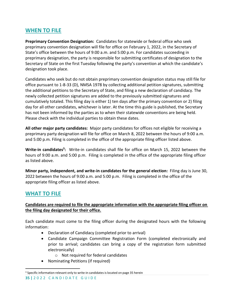## <span id="page-34-0"></span>**WHEN TO FILE**

**Preprimary Convention Designation:** Candidates for statewide or federal office who seek preprimary convention designation will file for office on February 1, 2022, in the Secretary of State's office between the hours of 9:00 a.m. and 5:00 p.m. For candidates succeeding in preprimary designation, the party is responsible for submitting certificates of designation to the Secretary of State on the first Tuesday following the party's convention at which the candidate's designation took place.

Candidates who seek but do not obtain preprimary convention designation status may still file for office pursuant to 1-8-33 (D), NMSA 1978 by collecting additional petition signatures, submitting the additional petitions to the Secretary of State, and filing a new declaration of candidacy. The newly collected petition signatures are added to the previously submitted signatures and cumulatively totaled. This filing day is either 1) ten days after the primary convention or 2) filing day for all other candidates, whichever is later. At the time this guide is published, the Secretary has not been informed by the parties as to when their statewide conventions are being held. Please check with the individual parties to obtain these dates.

**All other major party candidates:** Major party candidates for offices not eligible for receiving a preprimary party designation will file for office on March 8, 2022 between the hours of 9:00 a.m. and 5:00 p.m. Filing is completed in the office of the appropriate filing officer listed above.

**Write-in candidates<sup>3</sup> :** Write-in candidates shall file for office on March 15, 2022 between the hours of 9:00 a.m. and 5:00 p.m. Filing is completed in the office of the appropriate filing officer as listed above.

**Minor party, independent, and write-in candidates for the general election:** Filing day is June 30, 2022 between the hours of 9:00 a.m. and 5:00 p.m. Filing is completed in the office of the appropriate filing officer as listed above.

## <span id="page-34-1"></span>**WHAT TO FILE**

## **Candidates are required to file the appropriate information with the appropriate filing officer on the filing day designated for their office.**

Each candidate must come to the filing officer during the designated hours with the following information:

- Declaration of Candidacy (completed prior to arrival)
- Candidate Campaign Committee Registration Form (completed electronically and prior to arrival; candidates can bring a copy of the registration form submitted electronically)
	- o Not required for federal candidates
- Nominating Petitions (if required)

<sup>&</sup>lt;sup>3</sup> Specific information relevant only to write-in candidates is located on page 35 herein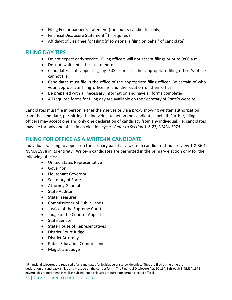- Filing Fee or pauper's statement (for county candidates only)
- Financial Disclosure Statement<sup>\*\*</sup> (if required)
- Affidavit of Designee for Filing (if someone is filing on behalf of candidate)

## <span id="page-35-0"></span>**FILING DAY TIPS**

- Do not expect early service. Filing officers will not accept filings prior to 9:00 a.m.
- Do not wait until the last minute.
- Candidates not appearing by 5:00 p.m. in the appropriate filing officer's office cannot file.
- Candidates must file in the office of the appropriate filing officer. Be certain of who your appropriate filing officer is and the location of their office.
- Be prepared with all necessary information and have all forms completed.
- All required forms for filing day are available on the Secretary of State's website.

Candidates must file in person, either themselves or via a proxy showing written authorization from the candidate, permitting the individual to act on the candidate's behalf. Further, filing officers may accept one and only one declaration of candidacy from any individual, i.e. candidates may file for only one office in an election cycle. *Refer to Section 1-8-27, NMSA 1978.*

## <span id="page-35-1"></span>**FILING FOR OFFICE AS A WRITE-IN CANDIDATE**

Individuals wishing to appear on the primary ballot as a write-in candidate should review 1-8-36.1, NSMA 1978 in its entirety. Write-in candidates are permitted in the primary election only for the following offices:

- United States Representative
- Governor
- Lieutenant Governor
- Secretary of State
- Attorney General
- State Auditor
- State Treasurer
- Commissioner of Public Lands
- Justice of the Supreme Court
- Judge of the Court of Appeals
- State Senate
- State House of Representatives
- District Court Judge
- District Attorney
- Public Education Commissioner
- Magistrate Judge

<sup>4</sup> Financial disclosures are required of all candidatesfor legislative or statewide office. They are filed at the time the declaration of candidacy is filed and must be on the correct form. The Financial Disclosure Act, 10-16A-1 through 8, NMSA 1978 governsthis requirement as well as subsequent disclosuresrequired for certain elected officials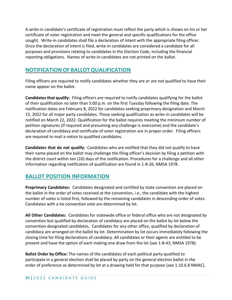A write-in candidate's certificate of registration must reflect the party which is shown on his or her certificate of voter registration and meet the general and specific qualifications for the office sought. Write-in candidates shall file a declaration of intent with the appropriate filing officer. Once the declaration of intent is filed, write-in candidates are considered a candidate for all purposes and provisions relating to candidates in the Election Code, including the financial reporting obligations. Names of write-in candidates are not printed on the ballot.

## <span id="page-36-0"></span>**NOTIFICATIONOF BALLOTQUALIFICATION**

Filing officers are required to notify candidates whether they are or are not qualified to have their name appear on the ballot.

**Candidates that qualify:** Filing officers are required to notify candidates qualifying for the ballot of their qualification no later than 5:00 p.m. on the first Tuesday following the filing date. The notification dates are February 8, 2022 for candidates seeking preprimary designation and March 15, 2022 for all major party candidates. Those seeking qualification as write-in candidates will be notified on March 22, 2022. Qualification for the ballot requires meeting the minimum number of petition signatures (if required and presuming any challenge is overcome) and the candidate's declaration of candidacy and certificate of voter registration are in proper order. Filing officers are required to mail a notice to qualified candidates.

**Candidates that do not qualify:** Candidates who are notified that they did not qualify to have their name placed on the ballot may challenge the filing officer's decision by filing a petition with the district court within ten (10) days of the notification. Procedures for a challenge and all other information regarding notification of qualification are found in 1-8-26, NMSA 1978.

## <span id="page-36-1"></span>**BALLOT POSITION INFORMATION**

**Preprimary Candidates:** Candidates designated and certified by state convention are placed on the ballot in the order of votes received at the convention, i.e., the candidate with the highest number of votes is listed first, followed by the remaining candidates in descending order of votes. Candidates with a tie convention vote are determined by lot.

**All Other Candidates:** Candidates for statewide office or federal office who are not designated by convention but qualified by declaration of candidacy are placed on the ballot by lot below the convention designated candidates. Candidates for any other office, qualified by declaration of candidacy are arranged on the ballot by lot. Determination by lot occurs immediately following the closing time for filing declarations of candidacy. All candidates or their agents are entitled to be present and have the option of each making one draw from the lot (see 1-8-43, NMSA 1978).

**Ballot Order by Office:** The names of the candidates of each political party qualified to participate in a general election shall be placed by party on the general election ballot in the order of preference as determined by lot at a drawing held for that purpose (see 1.10.6.8 NMAC).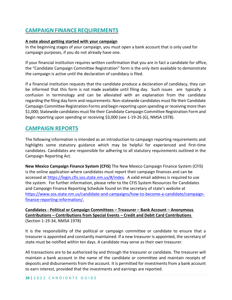## <span id="page-37-0"></span>**CAMPAIGNFINANCEREQUIREMENTS**

### <span id="page-37-1"></span>**A note about getting started with your campaign**

In the beginning stages of your campaign, you must open a bank account that is only used for campaign purposes, if you do not already have one.

If your financial institution requires written confirmation that you are in fact a candidate for office, the "Candidate Campaign Committee Registration" form is the only item available to demonstrate the campaign is active until the declaration of candidacy is filed.

If a financial institution requests that the candidate produce a declaration of candidacy, they can be informed that this form is not made available until filing day. Such issues are typically a confusion in terminology and can be alleviated with an explanation from the candidate regarding the filing day form and requirements. Non-statewide candidates must file their Candidate Campaign Committee Registration Forms and begin reporting upon spending or receiving more than \$1,000; Statewide candidates must file their Candidate Campaign Committee Registration Form and begin reporting upon spending or receiving \$3,000 (see 1-19-26 (G), NMSA 1978).

## <span id="page-37-2"></span>**CAMPAIGN REPORTS**

The following information is intended as an introduction to campaign reporting requirements and highlights some statutory guidance which may be helpful for experienced and first-time candidates. Candidates are responsible for adhering to all statutory requirements outlined in the Campaign Reporting Act.

**New Mexico Campaign Finance System (CFIS)** The New Mexico Campaign Finance System (CFIS) is the online application where candidates must report their campaign finances and can be accessed a[t https://login.cfis.sos.state.nm.us/#/index.](https://login.cfis.sos.state.nm.us/#/index) A valid email address is required to use the system. For further information, please refer to the CFIS System Resources for Candidates and Campaign Finance Reporting Schedule found on the secretary of state's website at [https://www.sos.state.nm.us/candidate-and-campaigns/how-to-become-a-candidate/campaign](https://www.sos.state.nm.us/candidate-and-campaigns/how-to-become-a-candidate/campaign-finance-reporting-information/)[finance-reporting-information/.](https://www.sos.state.nm.us/candidate-and-campaigns/how-to-become-a-candidate/campaign-finance-reporting-information/)

## <span id="page-37-3"></span>**Candidates - Political or Campaign Committees – Treasurer – Bank Account – Anonymous Contributions – Contributions from Special Events – Credit and Debit Card Contributions** (Section 1-19-34, NMSA 1978)

It is the responsibility of the political or campaign committee or candidate to ensure that a treasurer is appointed and constantly maintained. If a new treasurer is appointed, the secretary of state must be notified within ten days. A candidate may serve as their own treasurer.

All transactions are to be authorized by and through the treasurer or candidate. The treasurer will maintain a bank account in the name of the candidate or committee and maintain receipts of deposits and disbursements from the account. It is permitted for investments from a bank account to earn interest, provided that the investments and earnings are reported.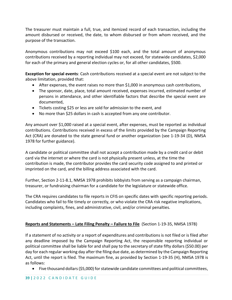The treasurer must maintain a full, true, and itemized record of each transaction, including the amount disbursed or received, the date, to whom disbursed or from whom received, and the purpose of the transaction.

Anonymous contributions may not exceed \$100 each, and the total amount of anonymous contributions received by a reporting individual may not exceed, for statewide candidates, \$2,000 for each of the primary and general election cycles or, for all other candidates, \$500.

**Exception for special events**: Cash contributions received at a special event are not subject to the above limitation, provided that:

- After expenses, the event raises no more than \$1,000 in anonymous cash contributions,
- The sponsor, date, place, total amount received, expenses incurred, estimated number of persons in attendance, and other identifiable factors that describe the special event are documented,
- Tickets costing \$25 or less are sold for admission to the event, and
- No more than \$25 dollars in cash is accepted from any one contributor.

Any amount over \$1,000 raised at a special event, after expenses, must be reported as individual contributions. Contributions received in excess of the limits provided by the Campaign Reporting Act (CRA) are donated to the state general fund or another organization (see 1-19-34 (D), NMSA 1978 for further guidance).

A candidate or political committee shall not accept a contribution made by a credit card or debit card via the internet or where the card is not physically present unless, at the time the contribution is made, the contributor provides the card security code assigned to and printed or imprinted on the card, and the billing address associated with the card.

Further, Section 2-11-8.1, NMSA 1978 prohibits lobbyists from serving as a campaign chairman, treasurer, or fundraising chairman for a candidate for the legislature or statewide office.

The CRA requires candidates to file reports in CFIS on specific dates with specific reporting periods. Candidates who fail to file timely or correctly, or who violate the CRA risk negative implications, including complaints, fines, and administrative, civil, and/or criminal penalties.

## <span id="page-38-0"></span>**Reports and Statements – Late Filing Penalty – Failure to File** (Section 1-19-35, NMSA 1978)

If a statement of no activity or a report of expenditures and contributions is not filed or is filed after any deadline imposed by the Campaign Reporting Act, the responsible reporting individual or political committee shall be liable for and shall pay to the secretary of state fifty dollars (\$50.00) per day for each regular working day after the filing due date, as determined by the Campaign Reporting Act, until the report is filed. The maximum fine, as provided by Section 1-19-35 (H), NMSA 1978 is as follows:

• Five thousand dollars (\$5,000) for statewide candidate committees and political committees,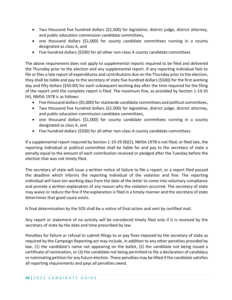- Two thousand five hundred dollars (\$2,500) for legislative, district judge, district attorney, and public education commission candidate committees,
- one thousand dollars (\$1,000) for county candidate committees running in a county designated as class A, and
- Five hundred dollars (\$500) for all other non-class A county candidate committees

The above requirement does not apply to supplemental reports required to be filed and delivered the Thursday prior to the election and any supplemental report. If any reporting individual fails to file or files a late report of expenditures and contributions due on the Thursday prior to the election, they shall be liable and pay to the secretary of state five hundred dollars (\$500) for the first working day and fifty dollars (\$50.00) for each subsequent working day after the time required for the filing of the report until the complete report is filed. The maximum fine, as provided by Section 1-19-35 (H), NMSA 1978 is as follows:

- Five thousand dollars (\$5,000) for statewide candidate committees and political committees,
- Two thousand five hundred dollars (\$2,500) for legislative, district judge, district attorney, and public education commission candidate committees,
- one thousand dollars (\$1,000) for county candidate committees running in a county designated as class A, and
- Five hundred dollars (\$500) for all other non-class A county candidate committees

If a supplemental report required by Section 1-19-29 (B)(5), NMSA 1978 is not filed, or filed late, the reporting individual or political committee shall be liable for and pay to the secretary of state a penalty equal to the amount of each contribution received or pledged after the Tuesday before the election that was not timely filed.

The secretary of state will issue a written notice of failure to file a report, or a report filed passed the deadline which informs the reporting individual of the violation and fine. The reporting individual will have ten working days from the date of the letter to come into voluntary compliance and provide a written explanation of any reason why the violation occurred. The secretary of state may waive or reduce the fine if the explanation is filed in a timely manner and the secretary of state determines that good cause exists.

A final determination by the SOS shall be a notice of final action and sent by certified mail.

Any report or statement of no activity will be considered timely filed only if it is received by the secretary of state by the date and time prescribed by law.

Penalties for failure or refusal to submit filings to or pay fines imposed by the secretary of state as required by the Campaign Reporting act may include, in addition to any other penalties provided by law, (1) the candidate's name not appearing on the ballot, (2) the candidate not being issued a certificate of nomination, or (3) the candidate not being permitted to file a declaration of candidacy or nominating petition for any future election. These penalties may be lifted if the candidate satisfies all reporting requirements and pays all penalties owed.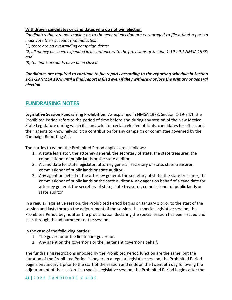### **Withdrawn candidates or candidates who do not win election**

*Candidates that are not moving on to the general election are encouraged to file a final report to inactivate their account that indicates:*

*(1) there are no outstanding campaign debts;*

*(2) all money has been expended in accordance with the provisions of Section 1-19-29.1 NMSA 1978; and*

*(3) the bank accounts have been closed.*

*Candidates are required to continue to file reports according to the reporting schedule in Section 1-91-29 NMSA 1978 until a final report is filed even if they withdraw or lose the primary or general election.*

## <span id="page-40-0"></span>**FUNDRAISING NOTES**

**Legislative Session Fundraising Prohibition:** As explained in NMSA 1978, Section 1-19-34.1, the Prohibited Period refers to the period of time before and during any session of the New Mexico State Legislature during which it is unlawful for certain elected officials, candidates for office, and their agents to knowingly solicit a contribution for any campaign or committee governed by the Campaign Reporting Act.

The parties to whom the Prohibited Period applies are as follows:

- 1. A state legislator, the attorney general, the secretary of state, the state treasurer, the commissioner of public lands or the state auditor.
- 2. A candidate for state legislator, attorney general, secretary of state, state treasurer, commissioner of public lands or state auditor.
- 3. Any agent on behalf of the attorney general, the secretary of state, the state treasurer, the commissioner of public lands or the state auditor 4. any agent on behalf of a candidate for attorney general, the secretary of state, state treasurer, commissioner of public lands or state auditor

In a regular legislative session, the Prohibited Period begins on January 1 prior to the start of the session and lasts through the adjournment of the session. In a special legislative session, the Prohibited Period begins after the proclamation declaring the special session has been issued and lasts through the adjournment of the session.

In the case of the following parties:

- 1. The governor or the lieutenant governor.
- 2. Any agent on the governor's or the lieutenant governor's behalf.

The fundraising restrictions imposed by the Prohibited Period function are the same, but the duration of the Prohibited Period is longer. In a regular legislative session, the Prohibited Period begins on January 1 prior to the start of the session and ends on the twentieth day following the adjournment of the session. In a special legislative session, the Prohibited Period begins after the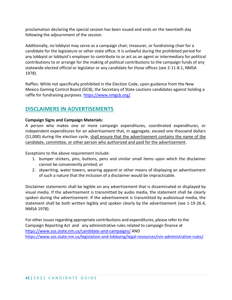proclamation declaring the special session has been issued and ends on the twentieth day following the adjournment of the session.

Additionally, no lobbyist may serve as a campaign chair, treasurer, or fundraising chair for a candidate for the legislature or other state office. It is unlawful during the prohibited period for any lobbyist or lobbyist's employer to contribute to or act as an agent or intermediary for political contributions to or arrange for the making of political contributions to the campaign funds of any statewide elected official or legislator or any candidate for those offices (see 2-11-8.1, NMSA 1978).

Raffles: While not specifically prohibited in the Election Code, upon guidance from the New Mexico Gaming Control Board (GCB), the Secretary of State cautions candidates against holding a raffle for fundraising purposes.<https://www.nmgcb.org/>.

## <span id="page-41-0"></span>**DISCLAIMERS IN ADVERTISEMENTS**

## **Campaign Signs and Campaign Materials:**

A person who makes one or more campaign expenditures, coordinated expenditures, or independent expenditures for an advertisement that, in aggregate, exceed one thousand dollars (\$1,000) during the election cycle, shall ensure that the advertisement contains the name of the candidate, committee, or other person who authorized and paid for the advertisement.

Exceptions to the above requirement include:

- 1. bumper stickers, pins, buttons, pens and similar small items upon which the disclaimer cannot be conveniently printed; or
- 2. skywriting, water towers, wearing apparel or other means of displaying an advertisement of such a nature that the inclusion of a disclaimer would be impracticable.

Disclaimer statements shall be legible on any advertisement that is disseminated or displayed by visual media. If the advertisement is transmitted by audio media, the statement shall be clearly spoken during the advertisement. If the advertisement is transmitted by audiovisual media, the statement shall be both written legibly and spoken clearly by the advertisement (see 1-19-26.4, NMSA 1978).

For other issues regarding appropriate contributions and expenditures, please refer to the Campaign Reporting Act and any administrative rules related to campaign finance at <https://www.sos.state.nm.us/candidate-and-campaigns/> AND <https://www.sos.state.nm.us/legislation-and-lobbying/legal-resources/nm-administrative-rules/>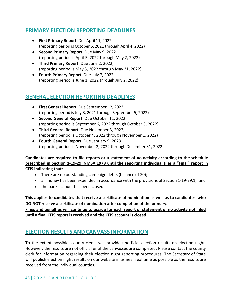## <span id="page-42-0"></span>**PRIMARY ELECTION REPORTING DEADLINES**

- **First Primary Report**: Due April 11, 2022 (reporting period is October 5, 2021 through April 4, 2022)
- **Second Primary Report**: Due May 9, 2022 (reporting period is April 5, 2022 through May 2, 2022)
- **Third Primary Report**: Due June 2, 2022, (reporting period is May 3, 2022 through May 31, 2022)
- **Fourth Primary Report**: Due July 7, 2022 (reporting period is June 1, 2022 through July 2, 2022)

## <span id="page-42-1"></span>**GENERAL ELECTION REPORTING DEADLINES**

- **First General Report**: Due September 12, 2022 (reporting period isJuly 3, 2021 through September 5, 2022)
- **Second General Report**: Due October 11, 2022 (reporting period is September 6, 2022 through October 3, 2022)
- **Third General Report**: Due November 3, 2022, (reporting period is October 4, 2022 through November 1, 2022)
- **Fourth General Report**: Due January 9, 2023 (reporting period is November 2, 2022 through December 31, 2022)

## <span id="page-42-2"></span>**Candidates are required to file reports or a statement of no activity according to the schedule prescribed in Section 1-19-29, NMSA 1978 until the reporting individual files a "Final" report in CFIS indicating that:**

- There are no outstanding campaign debts (balance of \$0);
- all money has been expended in accordance with the provisions of Section 1-19-29.1; and
- the bank account has been closed.

**This applies to candidates that receive a certificate of nomination as well as to candidates who DO NOT receive a certificate of nomination after completion of the primary.**

**Fines and penalties will continue to accrue for each report or statement of no activity not filed until a final CFIS report is received and the CFIS account is closed.**

## <span id="page-42-3"></span>**ELECTION RESULTS AND CANVASS INFORMATION**

To the extent possible, county clerks will provide unofficial election results on election night. However, the results are not official until the canvasses are completed. Please contact the county clerk for information regarding their election night reporting procedures. The Secretary of State will publish election night results on our website in as near real time as possible as the results are received from the individual counties.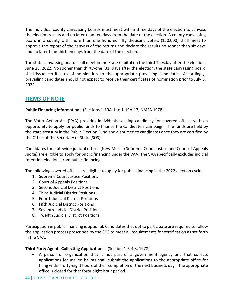The individual county canvassing boards must meet within three days of the election to canvass the election results and no later than ten days from the date of the election. A county canvassing board in a county with more than one hundred fifty thousand voters (150,000) shall meet to approve the report of the canvass of the returns and declare the results no sooner than six days and no later than thirteen days from the date of the election.

The state canvassing board shall meet in the State Capitol on the third Tuesday after the election, June 28, 2022. No sooner than thirty-one (31) days after the election, the state canvassing board shall issue certificates of nomination to the appropriate prevailing candidates. Accordingly, prevailing candidates should not expect to receive their certificates of nomination prior to July 8, 2022.

## <span id="page-43-0"></span>**ITEMS OF NOTE**

## <span id="page-43-1"></span>**Public Financing Information:** (Sections 1-19A-1 to 1-19A-17, NMSA 1978)

The Voter Action Act (VAA) provides individuals seeking candidacy for covered offices with an opportunity to apply for public funds to finance the candidate's campaign. The funds are held by the state treasury in the Public Election Fund and disbursed to candidates once they are certified by the Office of the Secretary of State (SOS).

Candidates for statewide judicial offices (New Mexico Supreme Court Justice and Court of Appeals Judge) are eligible to apply for public financing under the VAA. The VAA specifically excludes judicial retention elections from public financing.

The following covered offices are eligible to apply for public financing in the 2022 election cycle:

- 1. Supreme Court Justice Positions
- 2. Court of Appeals Positions
- 3. Second Judicial District Positions
- 4. Third Judicial District Positions
- 5. Fourth Judicial District Positions
- 6. Fifth Judicial District Positions
- 7. Seventh Judicial District Positions
- 8. Twelfth Judicial District Positions

Participation in public financing is optional. Candidates that opt to participate are required to follow the application process prescribed by the SOS to meet all requirements for certification as set forth in the VAA.

## <span id="page-43-2"></span>**Third Party Agents Collecting Applications:** (Section 1-6-4.3, 1978)

• A person or organization that is not part of a government agency and that collects applications for mailed ballots shall submit the applications to the appropriate office for filing within forty-eight hours of their completion or the next business day if the appropriate office is closed for that forty-eight-hour period.